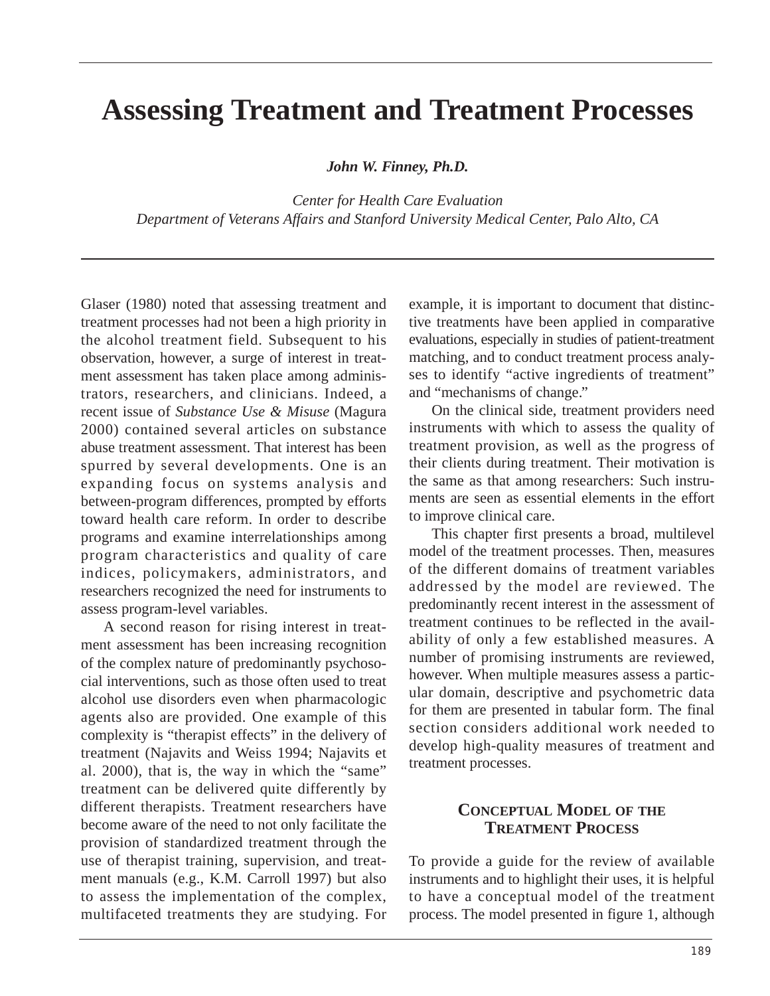# **Assessing Treatment and Treatment Processes**

*John W. Finney, Ph.D.* 

*Center for Health Care Evaluation Department of Veterans Affairs and Stanford University Medical Center, Palo Alto, CA* 

Glaser (1980) noted that assessing treatment and treatment processes had not been a high priority in the alcohol treatment field. Subsequent to his observation, however, a surge of interest in treatment assessment has taken place among administrators, researchers, and clinicians. Indeed, a recent issue of *Substance Use & Misuse* (Magura 2000) contained several articles on substance abuse treatment assessment. That interest has been spurred by several developments. One is an expanding focus on systems analysis and between-program differences, prompted by efforts toward health care reform. In order to describe programs and examine interrelationships among program characteristics and quality of care indices, policymakers, administrators, and researchers recognized the need for instruments to assess program-level variables.

A second reason for rising interest in treatment assessment has been increasing recognition of the complex nature of predominantly psychosocial interventions, such as those often used to treat alcohol use disorders even when pharmacologic agents also are provided. One example of this complexity is "therapist effects" in the delivery of treatment (Najavits and Weiss 1994; Najavits et al. 2000), that is, the way in which the "same" treatment can be delivered quite differently by different therapists. Treatment researchers have become aware of the need to not only facilitate the provision of standardized treatment through the use of therapist training, supervision, and treatment manuals (e.g., K.M. Carroll 1997) but also to assess the implementation of the complex, multifaceted treatments they are studying. For

example, it is important to document that distinctive treatments have been applied in comparative evaluations, especially in studies of patient-treatment matching, and to conduct treatment process analyses to identify "active ingredients of treatment" and "mechanisms of change."

On the clinical side, treatment providers need instruments with which to assess the quality of treatment provision, as well as the progress of their clients during treatment. Their motivation is the same as that among researchers: Such instruments are seen as essential elements in the effort to improve clinical care.

This chapter first presents a broad, multilevel model of the treatment processes. Then, measures of the different domains of treatment variables addressed by the model are reviewed. The predominantly recent interest in the assessment of treatment continues to be reflected in the availability of only a few established measures. A number of promising instruments are reviewed, however. When multiple measures assess a particular domain, descriptive and psychometric data for them are presented in tabular form. The final section considers additional work needed to develop high-quality measures of treatment and treatment processes.

### **CONCEPTUAL MODEL OF THE TREATMENT PROCESS**

To provide a guide for the review of available instruments and to highlight their uses, it is helpful to have a conceptual model of the treatment process. The model presented in figure 1, although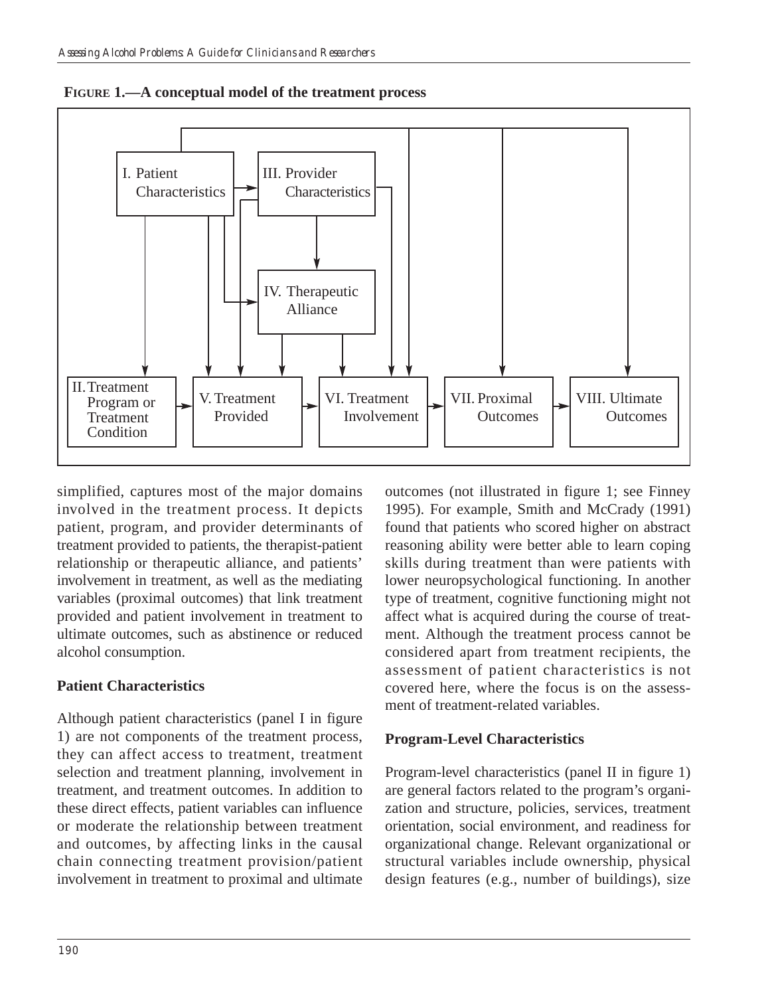



simplified, captures most of the major domains involved in the treatment process. It depicts patient, program, and provider determinants of treatment provided to patients, the therapist-patient relationship or therapeutic alliance, and patients' involvement in treatment, as well as the mediating variables (proximal outcomes) that link treatment provided and patient involvement in treatment to ultimate outcomes, such as abstinence or reduced alcohol consumption.

### **Patient Characteristics**

Although patient characteristics (panel I in figure 1) are not components of the treatment process, they can affect access to treatment, treatment selection and treatment planning, involvement in treatment, and treatment outcomes. In addition to these direct effects, patient variables can influence or moderate the relationship between treatment and outcomes, by affecting links in the causal chain connecting treatment provision/patient involvement in treatment to proximal and ultimate outcomes (not illustrated in figure 1; see Finney 1995). For example, Smith and McCrady (1991) found that patients who scored higher on abstract reasoning ability were better able to learn coping skills during treatment than were patients with lower neuropsychological functioning. In another type of treatment, cognitive functioning might not affect what is acquired during the course of treatment. Although the treatment process cannot be considered apart from treatment recipients, the assessment of patient characteristics is not covered here, where the focus is on the assessment of treatment-related variables.

### **Program-Level Characteristics**

Program-level characteristics (panel II in figure 1) are general factors related to the program's organization and structure, policies, services, treatment orientation, social environment, and readiness for organizational change. Relevant organizational or structural variables include ownership, physical design features (e.g., number of buildings), size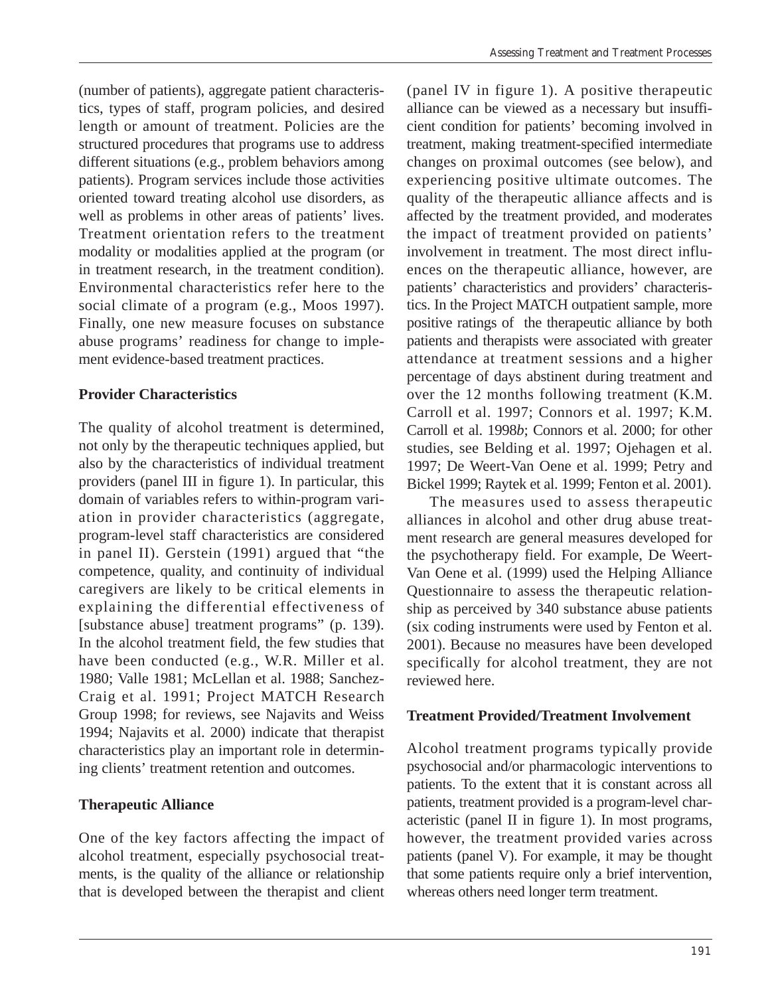(number of patients), aggregate patient characteristics, types of staff, program policies, and desired length or amount of treatment. Policies are the structured procedures that programs use to address different situations (e.g., problem behaviors among patients). Program services include those activities oriented toward treating alcohol use disorders, as well as problems in other areas of patients' lives. Treatment orientation refers to the treatment modality or modalities applied at the program (or in treatment research, in the treatment condition). Environmental characteristics refer here to the social climate of a program (e.g., Moos 1997). Finally, one new measure focuses on substance abuse programs' readiness for change to implement evidence-based treatment practices.

#### **Provider Characteristics**

The quality of alcohol treatment is determined, not only by the therapeutic techniques applied, but also by the characteristics of individual treatment providers (panel III in figure 1). In particular, this domain of variables refers to within-program variation in provider characteristics (aggregate, program-level staff characteristics are considered in panel II). Gerstein (1991) argued that "the competence, quality, and continuity of individual caregivers are likely to be critical elements in explaining the differential effectiveness of [substance abuse] treatment programs" (p. 139). In the alcohol treatment field, the few studies that have been conducted (e.g., W.R. Miller et al. 1980; Valle 1981; McLellan et al. 1988; Sanchez-Craig et al. 1991; Project MATCH Research Group 1998; for reviews, see Najavits and Weiss 1994; Najavits et al. 2000) indicate that therapist characteristics play an important role in determining clients' treatment retention and outcomes.

### **Therapeutic Alliance**

One of the key factors affecting the impact of alcohol treatment, especially psychosocial treatments, is the quality of the alliance or relationship that is developed between the therapist and client

(panel IV in figure 1). A positive therapeutic alliance can be viewed as a necessary but insufficient condition for patients' becoming involved in treatment, making treatment-specified intermediate changes on proximal outcomes (see below), and experiencing positive ultimate outcomes. The quality of the therapeutic alliance affects and is affected by the treatment provided, and moderates the impact of treatment provided on patients' involvement in treatment. The most direct influences on the therapeutic alliance, however, are patients' characteristics and providers' characteristics. In the Project MATCH outpatient sample, more positive ratings of the therapeutic alliance by both patients and therapists were associated with greater attendance at treatment sessions and a higher percentage of days abstinent during treatment and over the 12 months following treatment (K.M. Carroll et al. 1997; Connors et al. 1997; K.M. Carroll et al. 1998*b*; Connors et al. 2000; for other studies, see Belding et al. 1997; Ojehagen et al. 1997; De Weert-Van Oene et al. 1999; Petry and Bickel 1999; Raytek et al. 1999; Fenton et al. 2001).

The measures used to assess therapeutic alliances in alcohol and other drug abuse treatment research are general measures developed for the psychotherapy field. For example, De Weert-Van Oene et al. (1999) used the Helping Alliance Questionnaire to assess the therapeutic relationship as perceived by 340 substance abuse patients (six coding instruments were used by Fenton et al. 2001). Because no measures have been developed specifically for alcohol treatment, they are not reviewed here.

#### **Treatment Provided/Treatment Involvement**

Alcohol treatment programs typically provide psychosocial and/or pharmacologic interventions to patients. To the extent that it is constant across all patients, treatment provided is a program-level characteristic (panel II in figure 1). In most programs, however, the treatment provided varies across patients (panel V). For example, it may be thought that some patients require only a brief intervention, whereas others need longer term treatment.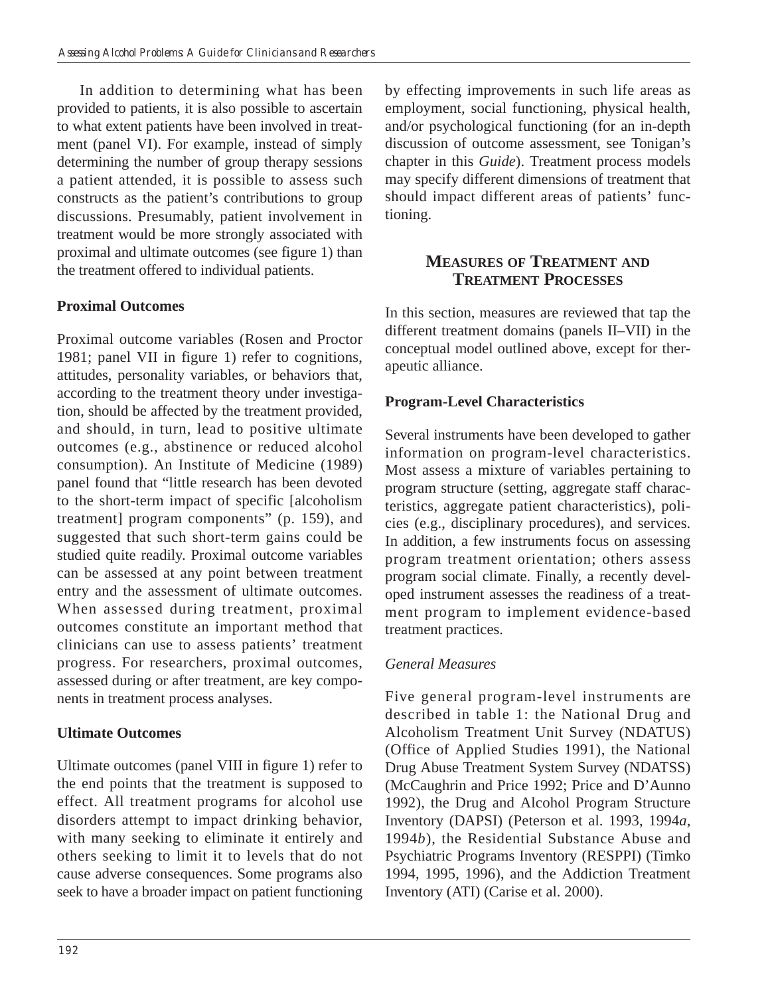In addition to determining what has been provided to patients, it is also possible to ascertain to what extent patients have been involved in treatment (panel VI). For example, instead of simply determining the number of group therapy sessions a patient attended, it is possible to assess such constructs as the patient's contributions to group discussions. Presumably, patient involvement in treatment would be more strongly associated with proximal and ultimate outcomes (see figure 1) than the treatment offered to individual patients.

# **Proximal Outcomes**

Proximal outcome variables (Rosen and Proctor 1981; panel VII in figure 1) refer to cognitions, attitudes, personality variables, or behaviors that, according to the treatment theory under investigation, should be affected by the treatment provided, and should, in turn, lead to positive ultimate outcomes (e.g., abstinence or reduced alcohol consumption). An Institute of Medicine (1989) panel found that "little research has been devoted to the short-term impact of specific [alcoholism treatment] program components" (p. 159), and suggested that such short-term gains could be studied quite readily. Proximal outcome variables can be assessed at any point between treatment entry and the assessment of ultimate outcomes. When assessed during treatment, proximal outcomes constitute an important method that clinicians can use to assess patients' treatment progress. For researchers, proximal outcomes, assessed during or after treatment, are key components in treatment process analyses.

# **Ultimate Outcomes**

Ultimate outcomes (panel VIII in figure 1) refer to the end points that the treatment is supposed to effect. All treatment programs for alcohol use disorders attempt to impact drinking behavior, with many seeking to eliminate it entirely and others seeking to limit it to levels that do not cause adverse consequences. Some programs also seek to have a broader impact on patient functioning by effecting improvements in such life areas as employment, social functioning, physical health, and/or psychological functioning (for an in-depth discussion of outcome assessment, see Tonigan's chapter in this *Guide*). Treatment process models may specify different dimensions of treatment that should impact different areas of patients' functioning.

### **MEASURES OF TREATMENT AND TREATMENT PROCESSES**

In this section, measures are reviewed that tap the different treatment domains (panels II–VII) in the conceptual model outlined above, except for therapeutic alliance.

# **Program-Level Characteristics**

Several instruments have been developed to gather information on program-level characteristics. Most assess a mixture of variables pertaining to program structure (setting, aggregate staff characteristics, aggregate patient characteristics), policies (e.g., disciplinary procedures), and services. In addition, a few instruments focus on assessing program treatment orientation; others assess program social climate. Finally, a recently developed instrument assesses the readiness of a treatment program to implement evidence-based treatment practices.

# *General Measures*

Five general program-level instruments are described in table 1: the National Drug and Alcoholism Treatment Unit Survey (NDATUS) (Office of Applied Studies 1991), the National Drug Abuse Treatment System Survey (NDATSS) (McCaughrin and Price 1992; Price and D'Aunno 1992), the Drug and Alcohol Program Structure Inventory (DAPSI) (Peterson et al. 1993, 1994*a*, 1994*b*), the Residential Substance Abuse and Psychiatric Programs Inventory (RESPPI) (Timko 1994, 1995, 1996), and the Addiction Treatment Inventory (ATI) (Carise et al. 2000).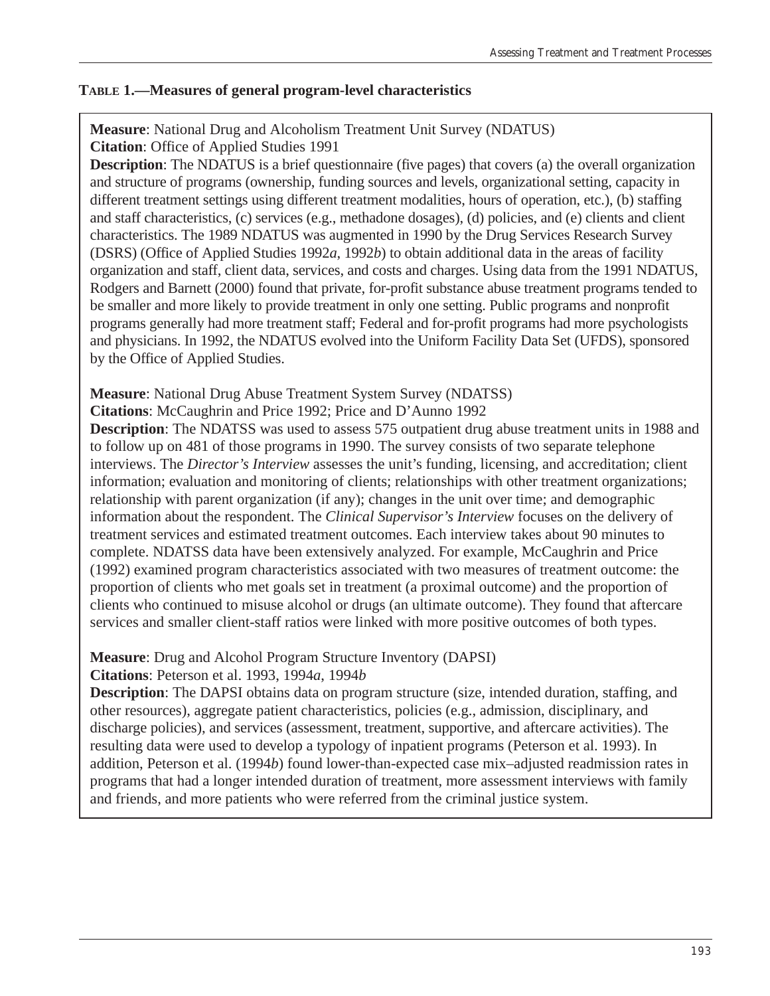### **TABLE 1.—Measures of general program-level characteristics**

**Measure**: National Drug and Alcoholism Treatment Unit Survey (NDATUS) **Citation**: Office of Applied Studies 1991

**Description**: The NDATUS is a brief questionnaire (five pages) that covers (a) the overall organization and structure of programs (ownership, funding sources and levels, organizational setting, capacity in different treatment settings using different treatment modalities, hours of operation, etc.), (b) staffing and staff characteristics, (c) services (e.g., methadone dosages), (d) policies, and (e) clients and client characteristics. The 1989 NDATUS was augmented in 1990 by the Drug Services Research Survey (DSRS) (Office of Applied Studies 1992*a*, 1992*b*) to obtain additional data in the areas of facility organization and staff, client data, services, and costs and charges. Using data from the 1991 NDATUS, Rodgers and Barnett (2000) found that private, for-profit substance abuse treatment programs tended to be smaller and more likely to provide treatment in only one setting. Public programs and nonprofit programs generally had more treatment staff; Federal and for-profit programs had more psychologists and physicians. In 1992, the NDATUS evolved into the Uniform Facility Data Set (UFDS), sponsored by the Office of Applied Studies.

### **Measure**: National Drug Abuse Treatment System Survey (NDATSS)

**Citations**: McCaughrin and Price 1992; Price and D'Aunno 1992

**Description**: The NDATSS was used to assess 575 outpatient drug abuse treatment units in 1988 and to follow up on 481 of those programs in 1990. The survey consists of two separate telephone interviews. The *Director's Interview* assesses the unit's funding, licensing, and accreditation; client information; evaluation and monitoring of clients; relationships with other treatment organizations; relationship with parent organization (if any); changes in the unit over time; and demographic information about the respondent. The *Clinical Supervisor's Interview* focuses on the delivery of treatment services and estimated treatment outcomes. Each interview takes about 90 minutes to complete. NDATSS data have been extensively analyzed. For example, McCaughrin and Price (1992) examined program characteristics associated with two measures of treatment outcome: the proportion of clients who met goals set in treatment (a proximal outcome) and the proportion of clients who continued to misuse alcohol or drugs (an ultimate outcome). They found that aftercare services and smaller client-staff ratios were linked with more positive outcomes of both types.

### **Measure**: Drug and Alcohol Program Structure Inventory (DAPSI)

**Citations**: Peterson et al. 1993, 1994*a*, 1994*b* 

**Description**: The DAPSI obtains data on program structure (size, intended duration, staffing, and other resources), aggregate patient characteristics, policies (e.g., admission, disciplinary, and discharge policies), and services (assessment, treatment, supportive, and aftercare activities). The resulting data were used to develop a typology of inpatient programs (Peterson et al. 1993). In addition, Peterson et al. (1994*b*) found lower-than-expected case mix–adjusted readmission rates in programs that had a longer intended duration of treatment, more assessment interviews with family and friends, and more patients who were referred from the criminal justice system.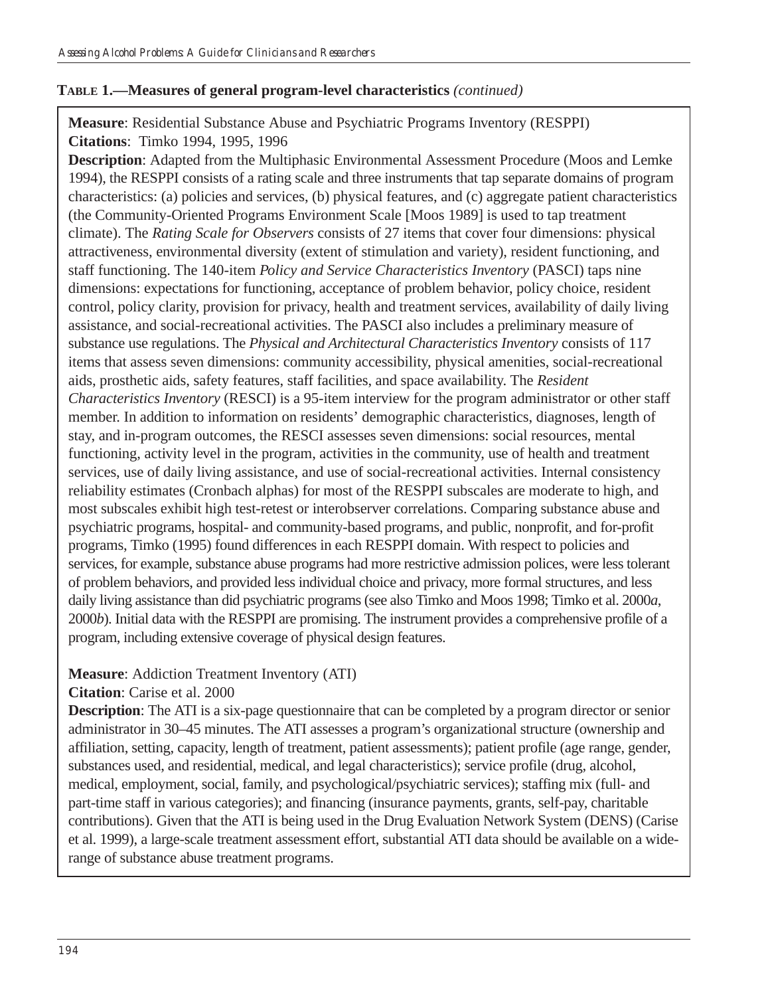### **TABLE 1.—Measures of general program-level characteristics** *(continued)*

### **Measure**: Residential Substance Abuse and Psychiatric Programs Inventory (RESPPI) **Citations**: Timko 1994, 1995, 1996

**Description**: Adapted from the Multiphasic Environmental Assessment Procedure (Moos and Lemke 1994), the RESPPI consists of a rating scale and three instruments that tap separate domains of program characteristics: (a) policies and services, (b) physical features, and (c) aggregate patient characteristics (the Community-Oriented Programs Environment Scale [Moos 1989] is used to tap treatment climate). The *Rating Scale for Observers* consists of 27 items that cover four dimensions: physical attractiveness, environmental diversity (extent of stimulation and variety), resident functioning, and staff functioning. The 140-item *Policy and Service Characteristics Inventory* (PASCI) taps nine dimensions: expectations for functioning, acceptance of problem behavior, policy choice, resident control, policy clarity, provision for privacy, health and treatment services, availability of daily living assistance, and social-recreational activities. The PASCI also includes a preliminary measure of substance use regulations. The *Physical and Architectural Characteristics Inventory* consists of 117 items that assess seven dimensions: community accessibility, physical amenities, social-recreational aids, prosthetic aids, safety features, staff facilities, and space availability. The *Resident Characteristics Inventory* (RESCI) is a 95-item interview for the program administrator or other staff member. In addition to information on residents' demographic characteristics, diagnoses, length of stay, and in-program outcomes, the RESCI assesses seven dimensions: social resources, mental functioning, activity level in the program, activities in the community, use of health and treatment services, use of daily living assistance, and use of social-recreational activities. Internal consistency reliability estimates (Cronbach alphas) for most of the RESPPI subscales are moderate to high, and most subscales exhibit high test-retest or interobserver correlations. Comparing substance abuse and psychiatric programs, hospital- and community-based programs, and public, nonprofit, and for-profit programs, Timko (1995) found differences in each RESPPI domain. With respect to policies and services, for example, substance abuse programs had more restrictive admission polices, were less tolerant of problem behaviors, and provided less individual choice and privacy, more formal structures, and less daily living assistance than did psychiatric programs (see also Timko and Moos 1998; Timko et al. 2000*a*, 2000*b*). Initial data with the RESPPI are promising. The instrument provides a comprehensive profile of a program, including extensive coverage of physical design features.

# **Measure**: Addiction Treatment Inventory (ATI)

### **Citation**: Carise et al. 2000

**Description**: The ATI is a six-page questionnaire that can be completed by a program director or senior administrator in 30–45 minutes. The ATI assesses a program's organizational structure (ownership and affiliation, setting, capacity, length of treatment, patient assessments); patient profile (age range, gender, substances used, and residential, medical, and legal characteristics); service profile (drug, alcohol, medical, employment, social, family, and psychological/psychiatric services); staffing mix (full- and part-time staff in various categories); and financing (insurance payments, grants, self-pay, charitable contributions). Given that the ATI is being used in the Drug Evaluation Network System (DENS) (Carise et al. 1999), a large-scale treatment assessment effort, substantial ATI data should be available on a widerange of substance abuse treatment programs.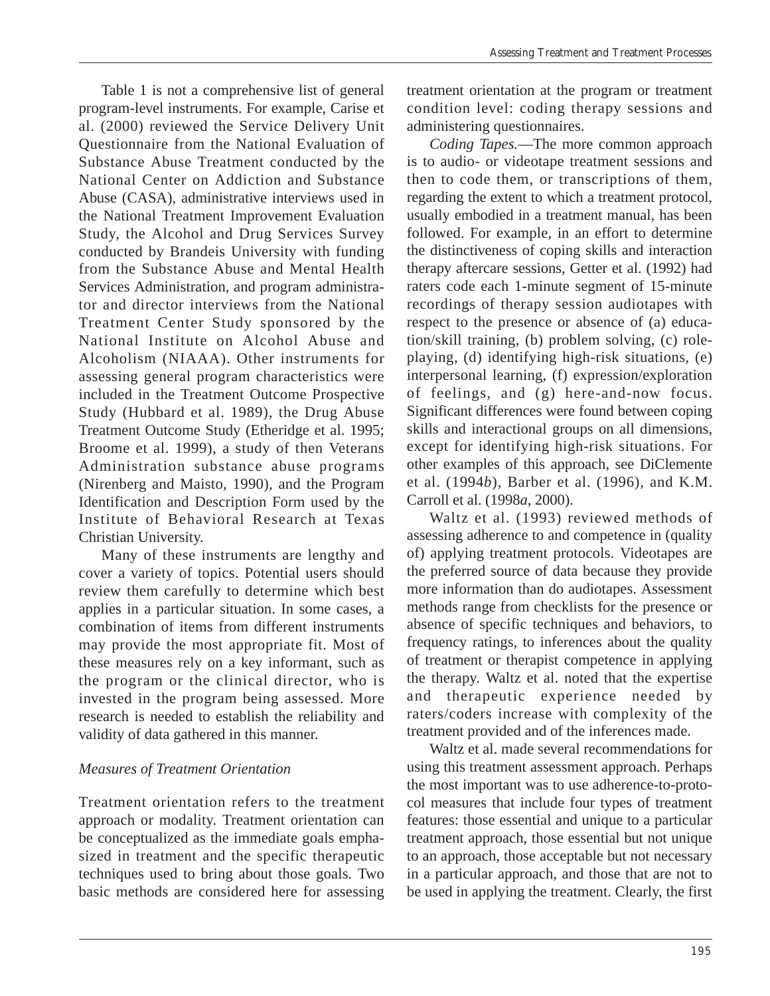Table 1 is not a comprehensive list of general program-level instruments. For example, Carise et al. (2000) reviewed the Service Delivery Unit Questionnaire from the National Evaluation of Substance Abuse Treatment conducted by the National Center on Addiction and Substance Abuse (CASA), administrative interviews used in the National Treatment Improvement Evaluation Study, the Alcohol and Drug Services Survey conducted by Brandeis University with funding from the Substance Abuse and Mental Health Services Administration, and program administrator and director interviews from the National Treatment Center Study sponsored by the National Institute on Alcohol Abuse and Alcoholism (NIAAA). Other instruments for assessing general program characteristics were included in the Treatment Outcome Prospective Study (Hubbard et al. 1989), the Drug Abuse Treatment Outcome Study (Etheridge et al. 1995; Broome et al. 1999), a study of then Veterans Administration substance abuse programs (Nirenberg and Maisto, 1990), and the Program Identification and Description Form used by the Institute of Behavioral Research at Texas Christian University.

Many of these instruments are lengthy and cover a variety of topics. Potential users should review them carefully to determine which best applies in a particular situation. In some cases, a combination of items from different instruments may provide the most appropriate fit. Most of these measures rely on a key informant, such as the program or the clinical director, who is invested in the program being assessed. More research is needed to establish the reliability and validity of data gathered in this manner.

### *Measures of Treatment Orientation*

Treatment orientation refers to the treatment approach or modality. Treatment orientation can be conceptualized as the immediate goals emphasized in treatment and the specific therapeutic techniques used to bring about those goals. Two basic methods are considered here for assessing

treatment orientation at the program or treatment condition level: coding therapy sessions and administering questionnaires.

*Coding Tapes.*—The more common approach is to audio- or videotape treatment sessions and then to code them, or transcriptions of them, regarding the extent to which a treatment protocol, usually embodied in a treatment manual, has been followed. For example, in an effort to determine the distinctiveness of coping skills and interaction therapy aftercare sessions, Getter et al. (1992) had raters code each 1-minute segment of 15-minute recordings of therapy session audiotapes with respect to the presence or absence of (a) education/skill training, (b) problem solving, (c) roleplaying, (d) identifying high-risk situations, (e) interpersonal learning, (f) expression/exploration of feelings, and (g) here-and-now focus. Significant differences were found between coping skills and interactional groups on all dimensions, except for identifying high-risk situations. For other examples of this approach, see DiClemente et al. (1994*b*), Barber et al. (1996), and K.M. Carroll et al. (1998*a*, 2000).

Waltz et al. (1993) reviewed methods of assessing adherence to and competence in (quality of) applying treatment protocols. Videotapes are the preferred source of data because they provide more information than do audiotapes. Assessment methods range from checklists for the presence or absence of specific techniques and behaviors, to frequency ratings, to inferences about the quality of treatment or therapist competence in applying the therapy. Waltz et al. noted that the expertise and therapeutic experience needed by raters/coders increase with complexity of the treatment provided and of the inferences made.

Waltz et al. made several recommendations for using this treatment assessment approach. Perhaps the most important was to use adherence-to-protocol measures that include four types of treatment features: those essential and unique to a particular treatment approach, those essential but not unique to an approach, those acceptable but not necessary in a particular approach, and those that are not to be used in applying the treatment. Clearly, the first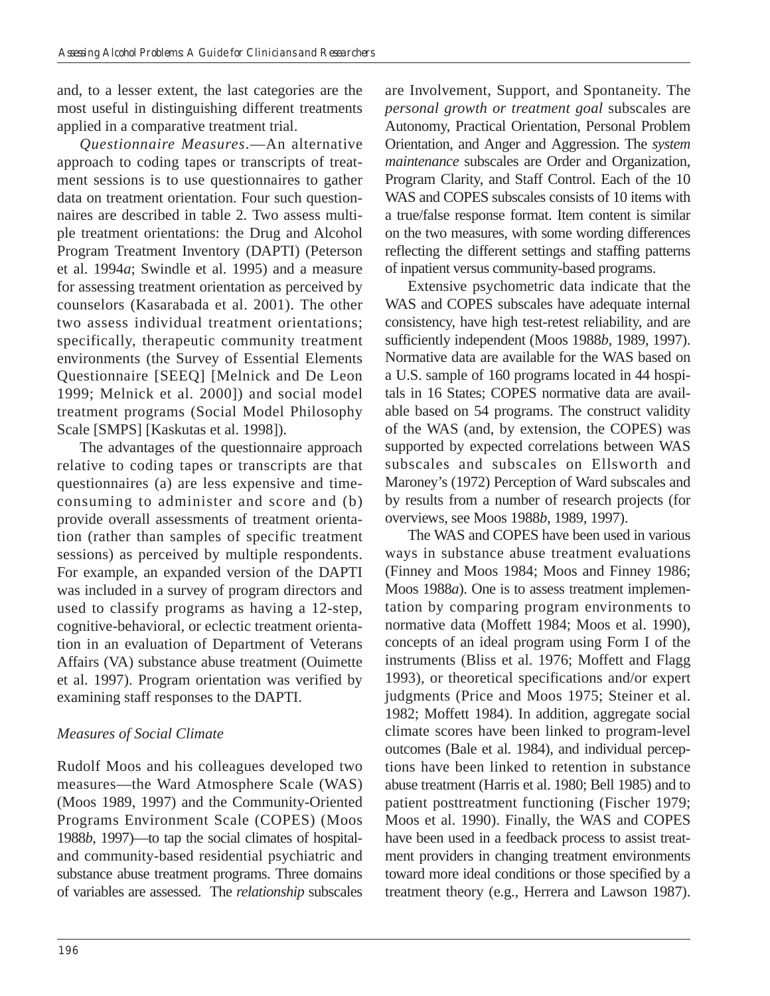and, to a lesser extent, the last categories are the most useful in distinguishing different treatments applied in a comparative treatment trial.

*Questionnaire Measures*.—An alternative approach to coding tapes or transcripts of treatment sessions is to use questionnaires to gather data on treatment orientation. Four such questionnaires are described in table 2. Two assess multiple treatment orientations: the Drug and Alcohol Program Treatment Inventory (DAPTI) (Peterson et al. 1994*a*; Swindle et al. 1995) and a measure for assessing treatment orientation as perceived by counselors (Kasarabada et al. 2001). The other two assess individual treatment orientations; specifically, therapeutic community treatment environments (the Survey of Essential Elements Questionnaire [SEEQ] [Melnick and De Leon 1999; Melnick et al. 2000]) and social model treatment programs (Social Model Philosophy Scale [SMPS] [Kaskutas et al. 1998]).

The advantages of the questionnaire approach relative to coding tapes or transcripts are that questionnaires (a) are less expensive and timeconsuming to administer and score and (b) provide overall assessments of treatment orientation (rather than samples of specific treatment sessions) as perceived by multiple respondents. For example, an expanded version of the DAPTI was included in a survey of program directors and used to classify programs as having a 12-step, cognitive-behavioral, or eclectic treatment orientation in an evaluation of Department of Veterans Affairs (VA) substance abuse treatment (Ouimette et al. 1997). Program orientation was verified by examining staff responses to the DAPTI.

### *Measures of Social Climate*

Rudolf Moos and his colleagues developed two measures—the Ward Atmosphere Scale (WAS) (Moos 1989, 1997) and the Community-Oriented Programs Environment Scale (COPES) (Moos 1988*b*, 1997)—to tap the social climates of hospitaland community-based residential psychiatric and substance abuse treatment programs. Three domains of variables are assessed. The *relationship* subscales are Involvement, Support, and Spontaneity. The *personal growth or treatment goal* subscales are Autonomy, Practical Orientation, Personal Problem Orientation, and Anger and Aggression. The *system maintenance* subscales are Order and Organization, Program Clarity, and Staff Control. Each of the 10 WAS and COPES subscales consists of 10 items with a true/false response format. Item content is similar on the two measures, with some wording differences reflecting the different settings and staffing patterns of inpatient versus community-based programs.

Extensive psychometric data indicate that the WAS and COPES subscales have adequate internal consistency, have high test-retest reliability, and are sufficiently independent (Moos 1988*b*, 1989, 1997). Normative data are available for the WAS based on a U.S. sample of 160 programs located in 44 hospitals in 16 States; COPES normative data are available based on 54 programs. The construct validity of the WAS (and, by extension, the COPES) was supported by expected correlations between WAS subscales and subscales on Ellsworth and Maroney's (1972) Perception of Ward subscales and by results from a number of research projects (for overviews, see Moos 1988*b*, 1989, 1997).

The WAS and COPES have been used in various ways in substance abuse treatment evaluations (Finney and Moos 1984; Moos and Finney 1986; Moos 1988*a*). One is to assess treatment implementation by comparing program environments to normative data (Moffett 1984; Moos et al. 1990), concepts of an ideal program using Form I of the instruments (Bliss et al. 1976; Moffett and Flagg 1993), or theoretical specifications and/or expert judgments (Price and Moos 1975; Steiner et al. 1982; Moffett 1984). In addition, aggregate social climate scores have been linked to program-level outcomes (Bale et al. 1984), and individual perceptions have been linked to retention in substance abuse treatment (Harris et al. 1980; Bell 1985) and to patient posttreatment functioning (Fischer 1979; Moos et al. 1990). Finally, the WAS and COPES have been used in a feedback process to assist treatment providers in changing treatment environments toward more ideal conditions or those specified by a treatment theory (e.g., Herrera and Lawson 1987).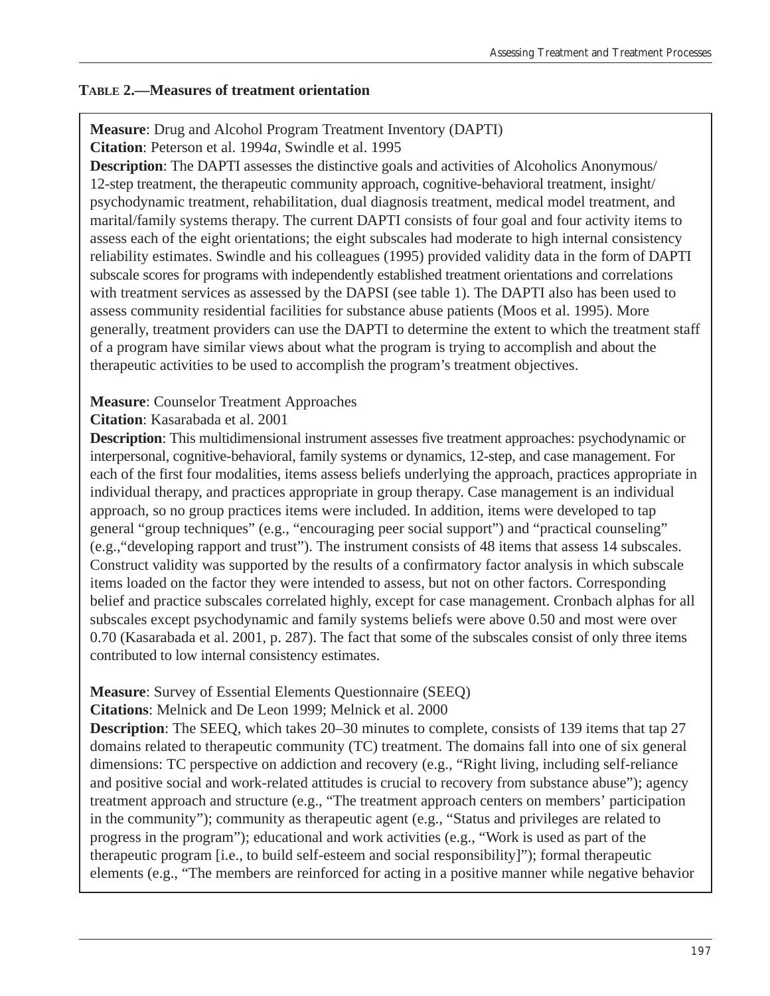### **TABLE 2.—Measures of treatment orientation**

**Measure**: Drug and Alcohol Program Treatment Inventory (DAPTI) **Citation**: Peterson et al. 1994*a*, Swindle et al. 1995

**Description**: The DAPTI assesses the distinctive goals and activities of Alcoholics Anonymous/ 12-step treatment, the therapeutic community approach, cognitive-behavioral treatment, insight/ psychodynamic treatment, rehabilitation, dual diagnosis treatment, medical model treatment, and marital/family systems therapy. The current DAPTI consists of four goal and four activity items to assess each of the eight orientations; the eight subscales had moderate to high internal consistency reliability estimates. Swindle and his colleagues (1995) provided validity data in the form of DAPTI subscale scores for programs with independently established treatment orientations and correlations with treatment services as assessed by the DAPSI (see table 1). The DAPTI also has been used to assess community residential facilities for substance abuse patients (Moos et al. 1995). More generally, treatment providers can use the DAPTI to determine the extent to which the treatment staff of a program have similar views about what the program is trying to accomplish and about the therapeutic activities to be used to accomplish the program's treatment objectives.

#### **Measure**: Counselor Treatment Approaches

**Citation**: Kasarabada et al. 2001

**Description**: This multidimensional instrument assesses five treatment approaches: psychodynamic or interpersonal, cognitive-behavioral, family systems or dynamics, 12-step, and case management. For each of the first four modalities, items assess beliefs underlying the approach, practices appropriate in individual therapy, and practices appropriate in group therapy. Case management is an individual approach, so no group practices items were included. In addition, items were developed to tap general "group techniques" (e.g., "encouraging peer social support") and "practical counseling" (e.g.,"developing rapport and trust"). The instrument consists of 48 items that assess 14 subscales. Construct validity was supported by the results of a confirmatory factor analysis in which subscale items loaded on the factor they were intended to assess, but not on other factors. Corresponding belief and practice subscales correlated highly, except for case management. Cronbach alphas for all subscales except psychodynamic and family systems beliefs were above 0.50 and most were over 0.70 (Kasarabada et al. 2001, p. 287). The fact that some of the subscales consist of only three items contributed to low internal consistency estimates.

### **Measure**: Survey of Essential Elements Questionnaire (SEEQ)

**Citations**: Melnick and De Leon 1999; Melnick et al. 2000

**Description**: The SEEQ, which takes 20–30 minutes to complete, consists of 139 items that tap 27 domains related to therapeutic community (TC) treatment. The domains fall into one of six general dimensions: TC perspective on addiction and recovery (e.g., "Right living, including self-reliance and positive social and work-related attitudes is crucial to recovery from substance abuse"); agency treatment approach and structure (e.g., "The treatment approach centers on members' participation in the community"); community as therapeutic agent (e.g., "Status and privileges are related to progress in the program"); educational and work activities (e.g., "Work is used as part of the therapeutic program [i.e., to build self-esteem and social responsibility]"); formal therapeutic elements (e.g., "The members are reinforced for acting in a positive manner while negative behavior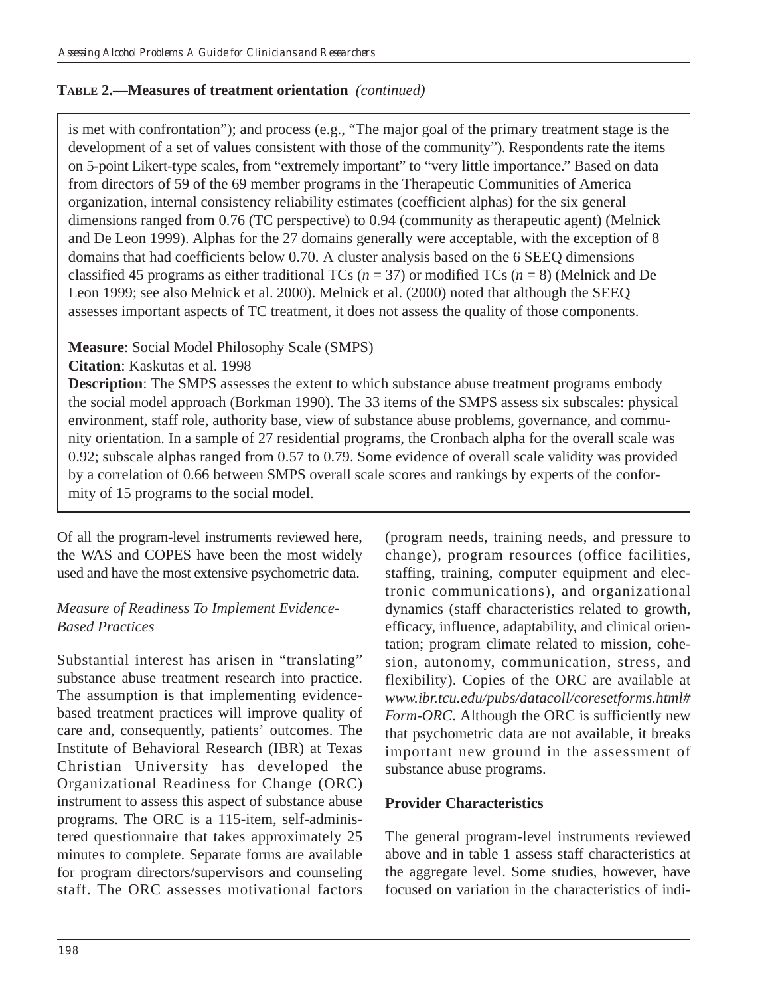### **TABLE 2.—Measures of treatment orientation** *(continued)*

is met with confrontation"); and process (e.g., "The major goal of the primary treatment stage is the development of a set of values consistent with those of the community"). Respondents rate the items on 5-point Likert-type scales, from "extremely important" to "very little importance." Based on data from directors of 59 of the 69 member programs in the Therapeutic Communities of America organization, internal consistency reliability estimates (coefficient alphas) for the six general dimensions ranged from 0.76 (TC perspective) to 0.94 (community as therapeutic agent) (Melnick and De Leon 1999). Alphas for the 27 domains generally were acceptable, with the exception of 8 domains that had coefficients below 0.70. A cluster analysis based on the 6 SEEQ dimensions classified 45 programs as either traditional TCs (*n* = 37) or modified TCs (*n* = 8) (Melnick and De Leon 1999; see also Melnick et al. 2000). Melnick et al. (2000) noted that although the SEEQ assesses important aspects of TC treatment, it does not assess the quality of those components.

**Measure**: Social Model Philosophy Scale (SMPS)

### **Citation**: Kaskutas et al. 1998

**Description**: The SMPS assesses the extent to which substance abuse treatment programs embody the social model approach (Borkman 1990). The 33 items of the SMPS assess six subscales: physical environment, staff role, authority base, view of substance abuse problems, governance, and community orientation. In a sample of 27 residential programs, the Cronbach alpha for the overall scale was 0.92; subscale alphas ranged from 0.57 to 0.79. Some evidence of overall scale validity was provided by a correlation of 0.66 between SMPS overall scale scores and rankings by experts of the conformity of 15 programs to the social model.

Of all the program-level instruments reviewed here, the WAS and COPES have been the most widely used and have the most extensive psychometric data.

### *Measure of Readiness To Implement Evidence-Based Practices*

Substantial interest has arisen in "translating" substance abuse treatment research into practice. The assumption is that implementing evidencebased treatment practices will improve quality of care and, consequently, patients' outcomes. The Institute of Behavioral Research (IBR) at Texas Christian University has developed the Organizational Readiness for Change (ORC) instrument to assess this aspect of substance abuse programs. The ORC is a 115-item, self-administered questionnaire that takes approximately 25 minutes to complete. Separate forms are available for program directors/supervisors and counseling staff. The ORC assesses motivational factors (program needs, training needs, and pressure to change), program resources (office facilities, staffing, training, computer equipment and electronic communications), and organizational dynamics (staff characteristics related to growth, efficacy, influence, adaptability, and clinical orientation; program climate related to mission, cohesion, autonomy, communication, stress, and flexibility). Copies of the ORC are available at *www.ibr.tcu.edu/pubs/datacoll/coresetforms.html# Form-ORC*. Although the ORC is sufficiently new that psychometric data are not available, it breaks important new ground in the assessment of substance abuse programs.

### **Provider Characteristics**

The general program-level instruments reviewed above and in table 1 assess staff characteristics at the aggregate level. Some studies, however, have focused on variation in the characteristics of indi-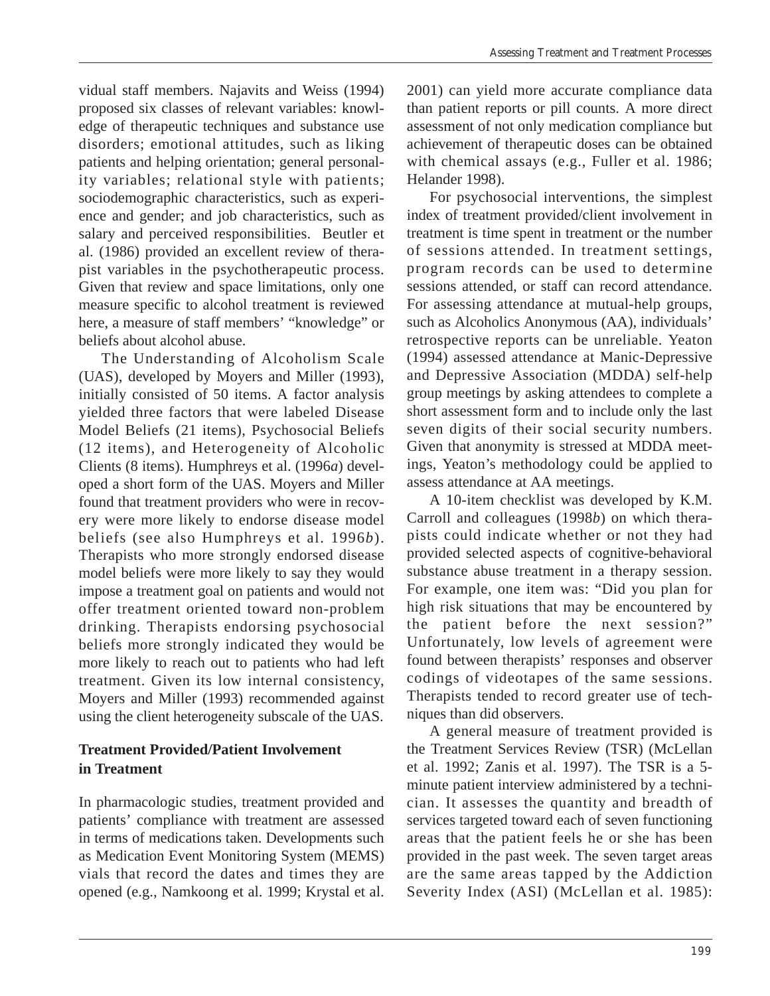vidual staff members. Najavits and Weiss (1994) proposed six classes of relevant variables: knowledge of therapeutic techniques and substance use disorders; emotional attitudes, such as liking patients and helping orientation; general personality variables; relational style with patients; sociodemographic characteristics, such as experience and gender; and job characteristics, such as salary and perceived responsibilities. Beutler et al. (1986) provided an excellent review of therapist variables in the psychotherapeutic process. Given that review and space limitations, only one measure specific to alcohol treatment is reviewed here, a measure of staff members' "knowledge" or beliefs about alcohol abuse.

The Understanding of Alcoholism Scale (UAS), developed by Moyers and Miller (1993), initially consisted of 50 items. A factor analysis yielded three factors that were labeled Disease Model Beliefs (21 items), Psychosocial Beliefs (12 items), and Heterogeneity of Alcoholic Clients (8 items). Humphreys et al. (1996*a*) developed a short form of the UAS. Moyers and Miller found that treatment providers who were in recovery were more likely to endorse disease model beliefs (see also Humphreys et al. 1996*b*). Therapists who more strongly endorsed disease model beliefs were more likely to say they would impose a treatment goal on patients and would not offer treatment oriented toward non-problem drinking. Therapists endorsing psychosocial beliefs more strongly indicated they would be more likely to reach out to patients who had left treatment. Given its low internal consistency, Moyers and Miller (1993) recommended against using the client heterogeneity subscale of the UAS.

### **Treatment Provided/Patient Involvement in Treatment**

In pharmacologic studies, treatment provided and patients' compliance with treatment are assessed in terms of medications taken. Developments such as Medication Event Monitoring System (MEMS) vials that record the dates and times they are opened (e.g., Namkoong et al. 1999; Krystal et al. 2001) can yield more accurate compliance data than patient reports or pill counts. A more direct assessment of not only medication compliance but achievement of therapeutic doses can be obtained with chemical assays (e.g., Fuller et al. 1986; Helander 1998).

For psychosocial interventions, the simplest index of treatment provided/client involvement in treatment is time spent in treatment or the number of sessions attended. In treatment settings, program records can be used to determine sessions attended, or staff can record attendance. For assessing attendance at mutual-help groups, such as Alcoholics Anonymous (AA), individuals' retrospective reports can be unreliable. Yeaton (1994) assessed attendance at Manic-Depressive and Depressive Association (MDDA) self-help group meetings by asking attendees to complete a short assessment form and to include only the last seven digits of their social security numbers. Given that anonymity is stressed at MDDA meetings, Yeaton's methodology could be applied to assess attendance at AA meetings.

A 10-item checklist was developed by K.M. Carroll and colleagues (1998*b*) on which therapists could indicate whether or not they had provided selected aspects of cognitive-behavioral substance abuse treatment in a therapy session. For example, one item was: "Did you plan for high risk situations that may be encountered by the patient before the next session?" Unfortunately, low levels of agreement were found between therapists' responses and observer codings of videotapes of the same sessions. Therapists tended to record greater use of techniques than did observers.

A general measure of treatment provided is the Treatment Services Review (TSR) (McLellan et al. 1992; Zanis et al. 1997). The TSR is a 5 minute patient interview administered by a technician. It assesses the quantity and breadth of services targeted toward each of seven functioning areas that the patient feels he or she has been provided in the past week. The seven target areas are the same areas tapped by the Addiction Severity Index (ASI) (McLellan et al. 1985):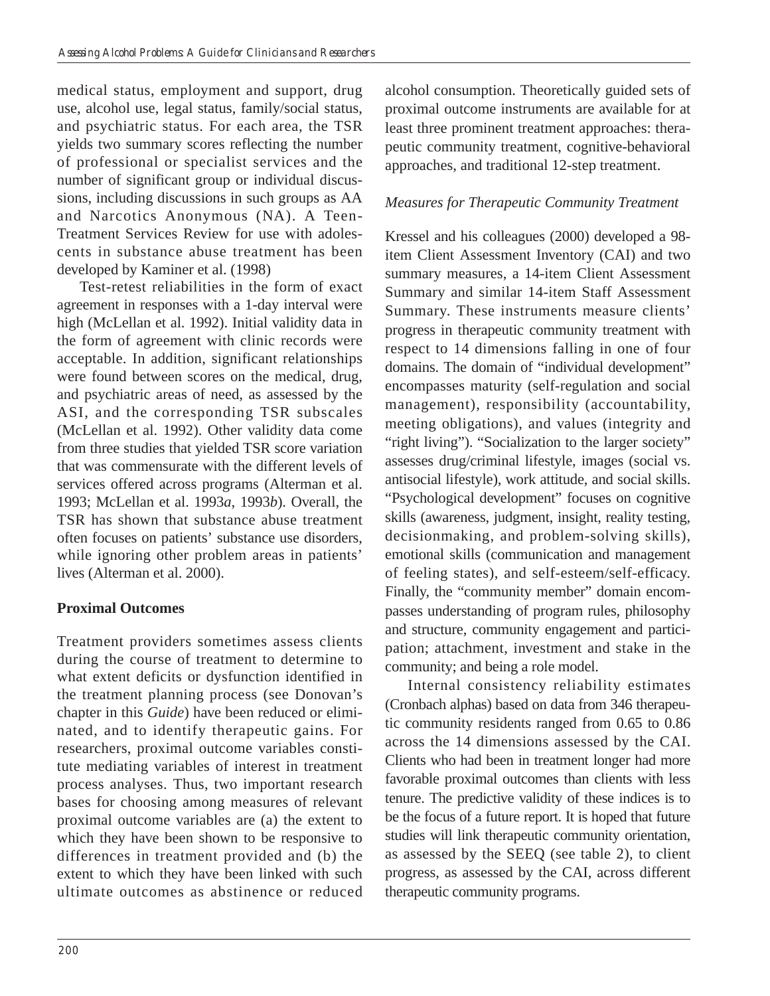medical status, employment and support, drug use, alcohol use, legal status, family/social status, and psychiatric status. For each area, the TSR yields two summary scores reflecting the number of professional or specialist services and the number of significant group or individual discussions, including discussions in such groups as AA and Narcotics Anonymous (NA). A Teen-Treatment Services Review for use with adolescents in substance abuse treatment has been developed by Kaminer et al. (1998)

Test-retest reliabilities in the form of exact agreement in responses with a 1-day interval were high (McLellan et al. 1992). Initial validity data in the form of agreement with clinic records were acceptable. In addition, significant relationships were found between scores on the medical, drug, and psychiatric areas of need, as assessed by the ASI, and the corresponding TSR subscales (McLellan et al. 1992). Other validity data come from three studies that yielded TSR score variation that was commensurate with the different levels of services offered across programs (Alterman et al. 1993; McLellan et al. 1993*a*, 1993*b*). Overall, the TSR has shown that substance abuse treatment often focuses on patients' substance use disorders, while ignoring other problem areas in patients' lives (Alterman et al. 2000).

# **Proximal Outcomes**

Treatment providers sometimes assess clients during the course of treatment to determine to what extent deficits or dysfunction identified in the treatment planning process (see Donovan's chapter in this *Guide*) have been reduced or eliminated, and to identify therapeutic gains. For researchers, proximal outcome variables constitute mediating variables of interest in treatment process analyses. Thus, two important research bases for choosing among measures of relevant proximal outcome variables are (a) the extent to which they have been shown to be responsive to differences in treatment provided and (b) the extent to which they have been linked with such ultimate outcomes as abstinence or reduced alcohol consumption. Theoretically guided sets of proximal outcome instruments are available for at least three prominent treatment approaches: therapeutic community treatment, cognitive-behavioral approaches, and traditional 12-step treatment.

### *Measures for Therapeutic Community Treatment*

Kressel and his colleagues (2000) developed a 98 item Client Assessment Inventory (CAI) and two summary measures, a 14-item Client Assessment Summary and similar 14-item Staff Assessment Summary. These instruments measure clients' progress in therapeutic community treatment with respect to 14 dimensions falling in one of four domains. The domain of "individual development" encompasses maturity (self-regulation and social management), responsibility (accountability, meeting obligations), and values (integrity and "right living"). "Socialization to the larger society" assesses drug/criminal lifestyle, images (social vs. antisocial lifestyle), work attitude, and social skills. "Psychological development" focuses on cognitive skills (awareness, judgment, insight, reality testing, decisionmaking, and problem-solving skills), emotional skills (communication and management of feeling states), and self-esteem/self-efficacy. Finally, the "community member" domain encompasses understanding of program rules, philosophy and structure, community engagement and participation; attachment, investment and stake in the community; and being a role model.

Internal consistency reliability estimates (Cronbach alphas) based on data from 346 therapeutic community residents ranged from 0.65 to 0.86 across the 14 dimensions assessed by the CAI. Clients who had been in treatment longer had more favorable proximal outcomes than clients with less tenure. The predictive validity of these indices is to be the focus of a future report. It is hoped that future studies will link therapeutic community orientation, as assessed by the SEEQ (see table 2), to client progress, as assessed by the CAI, across different therapeutic community programs.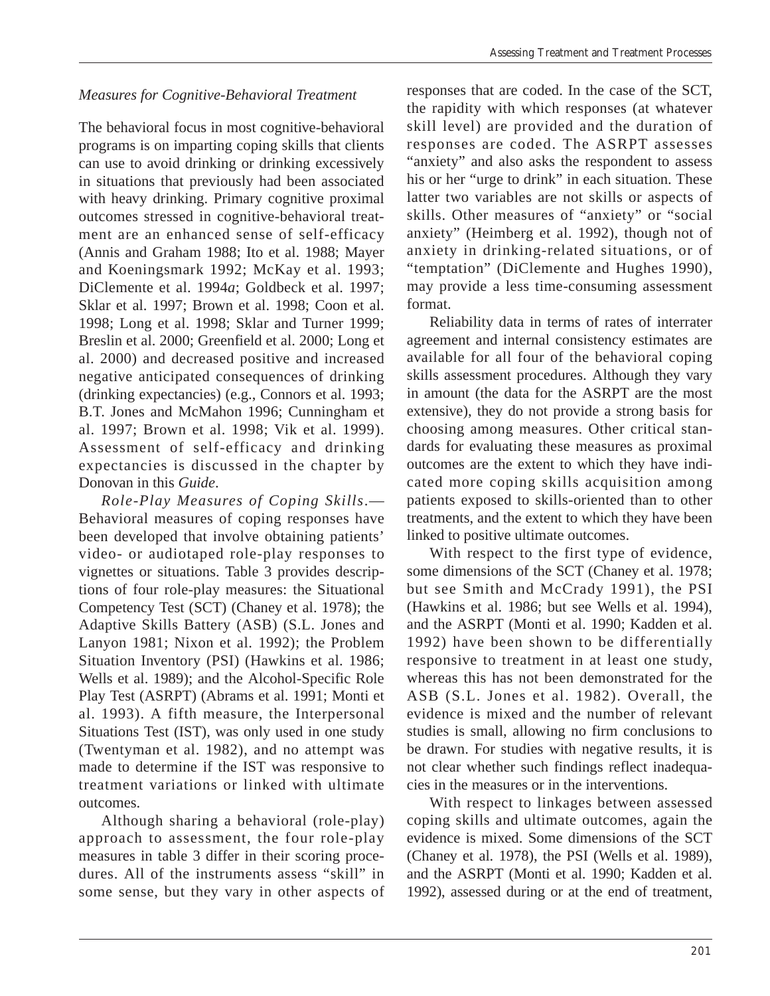### *Measures for Cognitive-Behavioral Treatment*

The behavioral focus in most cognitive-behavioral programs is on imparting coping skills that clients can use to avoid drinking or drinking excessively in situations that previously had been associated with heavy drinking. Primary cognitive proximal outcomes stressed in cognitive-behavioral treatment are an enhanced sense of self-efficacy (Annis and Graham 1988; Ito et al. 1988; Mayer and Koeningsmark 1992; McKay et al. 1993; DiClemente et al. 1994*a*; Goldbeck et al. 1997; Sklar et al. 1997; Brown et al. 1998; Coon et al. 1998; Long et al. 1998; Sklar and Turner 1999; Breslin et al. 2000; Greenfield et al. 2000; Long et al. 2000) and decreased positive and increased negative anticipated consequences of drinking (drinking expectancies) (e.g., Connors et al. 1993; B.T. Jones and McMahon 1996; Cunningham et al. 1997; Brown et al. 1998; Vik et al. 1999). Assessment of self-efficacy and drinking expectancies is discussed in the chapter by Donovan in this *Guide*.

*Role-Play Measures of Coping Skills*.— Behavioral measures of coping responses have been developed that involve obtaining patients' video- or audiotaped role-play responses to vignettes or situations. Table 3 provides descriptions of four role-play measures: the Situational Competency Test (SCT) (Chaney et al. 1978); the Adaptive Skills Battery (ASB) (S.L. Jones and Lanyon 1981; Nixon et al. 1992); the Problem Situation Inventory (PSI) (Hawkins et al. 1986; Wells et al. 1989); and the Alcohol-Specific Role Play Test (ASRPT) (Abrams et al. 1991; Monti et al. 1993). A fifth measure, the Interpersonal Situations Test (IST), was only used in one study (Twentyman et al. 1982), and no attempt was made to determine if the IST was responsive to treatment variations or linked with ultimate outcomes.

Although sharing a behavioral (role-play) approach to assessment, the four role-play measures in table 3 differ in their scoring procedures. All of the instruments assess "skill" in some sense, but they vary in other aspects of responses that are coded. In the case of the SCT, the rapidity with which responses (at whatever skill level) are provided and the duration of responses are coded. The ASRPT assesses "anxiety" and also asks the respondent to assess his or her "urge to drink" in each situation. These latter two variables are not skills or aspects of skills. Other measures of "anxiety" or "social anxiety" (Heimberg et al. 1992), though not of anxiety in drinking-related situations, or of "temptation" (DiClemente and Hughes 1990), may provide a less time-consuming assessment format.

Reliability data in terms of rates of interrater agreement and internal consistency estimates are available for all four of the behavioral coping skills assessment procedures. Although they vary in amount (the data for the ASRPT are the most extensive), they do not provide a strong basis for choosing among measures. Other critical standards for evaluating these measures as proximal outcomes are the extent to which they have indicated more coping skills acquisition among patients exposed to skills-oriented than to other treatments, and the extent to which they have been linked to positive ultimate outcomes.

With respect to the first type of evidence, some dimensions of the SCT (Chaney et al. 1978; but see Smith and McCrady 1991), the PSI (Hawkins et al. 1986; but see Wells et al. 1994), and the ASRPT (Monti et al. 1990; Kadden et al. 1992) have been shown to be differentially responsive to treatment in at least one study, whereas this has not been demonstrated for the ASB (S.L. Jones et al. 1982). Overall, the evidence is mixed and the number of relevant studies is small, allowing no firm conclusions to be drawn. For studies with negative results, it is not clear whether such findings reflect inadequacies in the measures or in the interventions.

With respect to linkages between assessed coping skills and ultimate outcomes, again the evidence is mixed. Some dimensions of the SCT (Chaney et al. 1978), the PSI (Wells et al. 1989), and the ASRPT (Monti et al. 1990; Kadden et al. 1992), assessed during or at the end of treatment,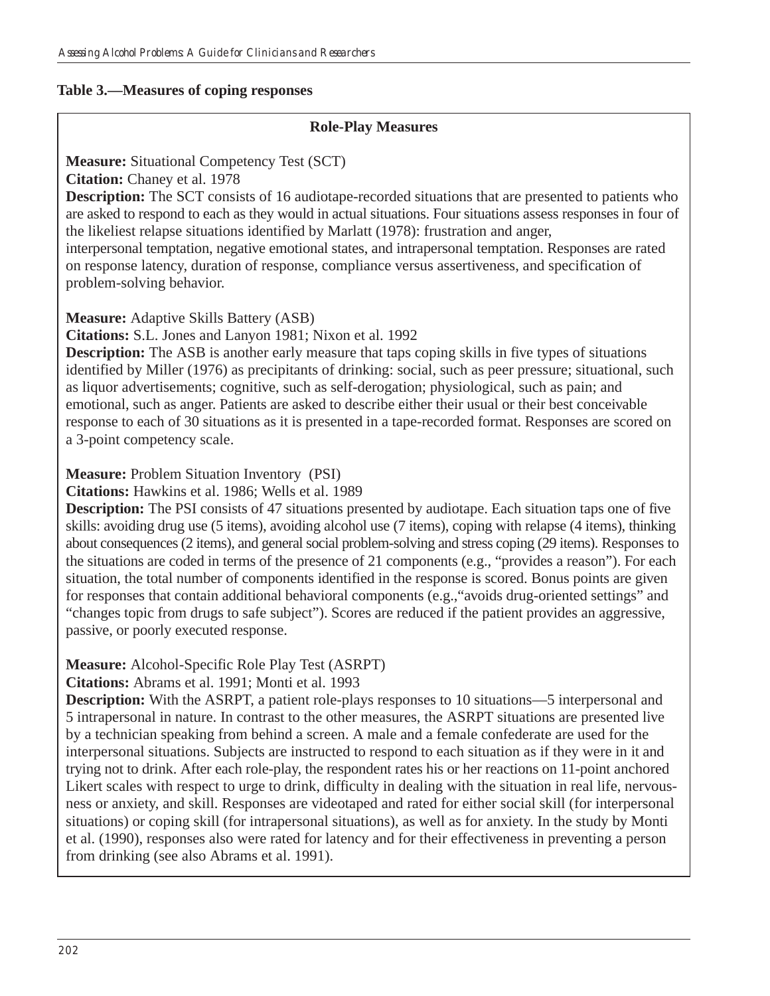#### **Table 3.—Measures of coping responses**

### **Role-Play Measures**

**Measure:** Situational Competency Test (SCT)

**Citation:** Chaney et al. 1978

**Description:** The SCT consists of 16 audiotape-recorded situations that are presented to patients who are asked to respond to each as they would in actual situations. Four situations assess responses in four of the likeliest relapse situations identified by Marlatt (1978): frustration and anger,

interpersonal temptation, negative emotional states, and intrapersonal temptation. Responses are rated on response latency, duration of response, compliance versus assertiveness, and specification of problem-solving behavior.

**Measure:** Adaptive Skills Battery (ASB)

**Citations:** S.L. Jones and Lanyon 1981; Nixon et al. 1992

**Description:** The ASB is another early measure that taps coping skills in five types of situations identified by Miller (1976) as precipitants of drinking: social, such as peer pressure; situational, such as liquor advertisements; cognitive, such as self-derogation; physiological, such as pain; and emotional, such as anger. Patients are asked to describe either their usual or their best conceivable response to each of 30 situations as it is presented in a tape-recorded format. Responses are scored on a 3-point competency scale.

**Measure:** Problem Situation Inventory (PSI)

**Citations:** Hawkins et al. 1986; Wells et al. 1989

**Description:** The PSI consists of 47 situations presented by audiotape. Each situation taps one of five skills: avoiding drug use (5 items), avoiding alcohol use (7 items), coping with relapse (4 items), thinking about consequences (2 items), and general social problem-solving and stress coping (29 items). Responses to the situations are coded in terms of the presence of 21 components (e.g., "provides a reason"). For each situation, the total number of components identified in the response is scored. Bonus points are given for responses that contain additional behavioral components (e.g.,"avoids drug-oriented settings" and "changes topic from drugs to safe subject"). Scores are reduced if the patient provides an aggressive, passive, or poorly executed response.

### **Measure:** Alcohol-Specific Role Play Test (ASRPT)

**Citations:** Abrams et al. 1991; Monti et al. 1993

**Description:** With the ASRPT, a patient role-plays responses to 10 situations—5 interpersonal and 5 intrapersonal in nature. In contrast to the other measures, the ASRPT situations are presented live by a technician speaking from behind a screen. A male and a female confederate are used for the interpersonal situations. Subjects are instructed to respond to each situation as if they were in it and trying not to drink. After each role-play, the respondent rates his or her reactions on 11-point anchored Likert scales with respect to urge to drink, difficulty in dealing with the situation in real life, nervousness or anxiety, and skill. Responses are videotaped and rated for either social skill (for interpersonal situations) or coping skill (for intrapersonal situations), as well as for anxiety. In the study by Monti et al. (1990), responses also were rated for latency and for their effectiveness in preventing a person from drinking (see also Abrams et al. 1991).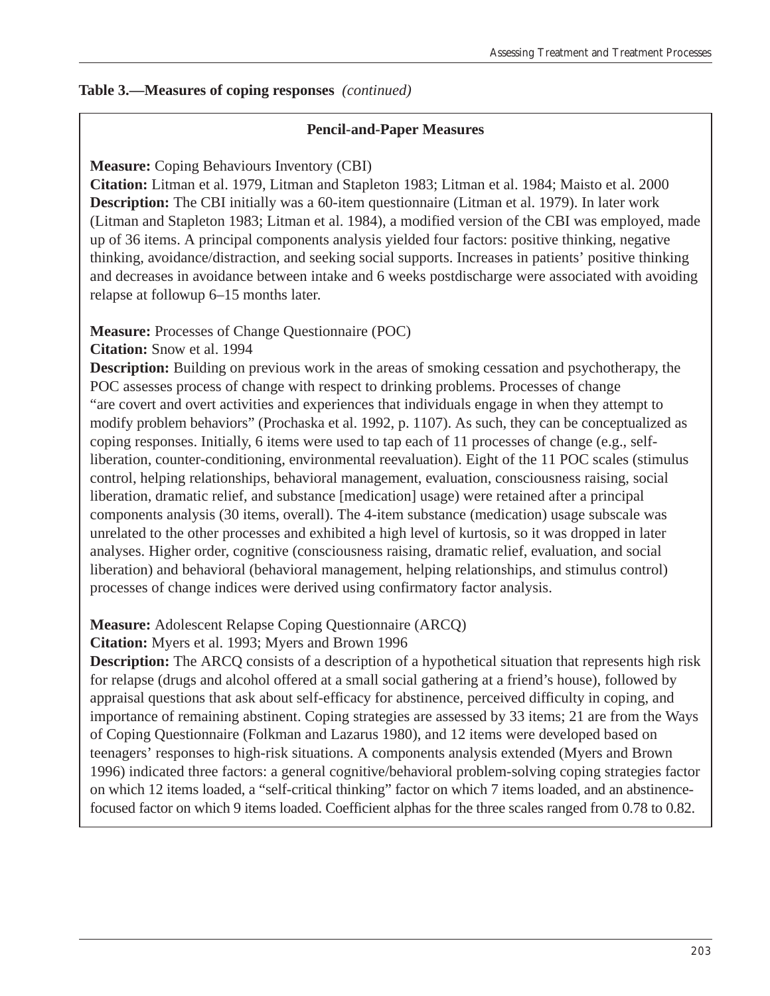### **Table 3.—Measures of coping responses** *(continued)*

### **Pencil-and-Paper Measures**

#### **Measure:** Coping Behaviours Inventory (CBI)

**Citation:** Litman et al. 1979, Litman and Stapleton 1983; Litman et al. 1984; Maisto et al. 2000 **Description:** The CBI initially was a 60-item questionnaire (Litman et al. 1979). In later work (Litman and Stapleton 1983; Litman et al. 1984), a modified version of the CBI was employed, made up of 36 items. A principal components analysis yielded four factors: positive thinking, negative thinking, avoidance/distraction, and seeking social supports. Increases in patients' positive thinking and decreases in avoidance between intake and 6 weeks postdischarge were associated with avoiding relapse at followup 6–15 months later.

**Measure:** Processes of Change Questionnaire (POC)

**Citation:** Snow et al. 1994

**Description:** Building on previous work in the areas of smoking cessation and psychotherapy, the POC assesses process of change with respect to drinking problems. Processes of change "are covert and overt activities and experiences that individuals engage in when they attempt to modify problem behaviors" (Prochaska et al. 1992, p. 1107). As such, they can be conceptualized as coping responses. Initially, 6 items were used to tap each of 11 processes of change (e.g., selfliberation, counter-conditioning, environmental reevaluation). Eight of the 11 POC scales (stimulus control, helping relationships, behavioral management, evaluation, consciousness raising, social liberation, dramatic relief, and substance [medication] usage) were retained after a principal components analysis (30 items, overall). The 4-item substance (medication) usage subscale was unrelated to the other processes and exhibited a high level of kurtosis, so it was dropped in later analyses. Higher order, cognitive (consciousness raising, dramatic relief, evaluation, and social liberation) and behavioral (behavioral management, helping relationships, and stimulus control) processes of change indices were derived using confirmatory factor analysis.

### **Measure:** Adolescent Relapse Coping Questionnaire (ARCQ)

### **Citation:** Myers et al. 1993; Myers and Brown 1996

**Description:** The ARCQ consists of a description of a hypothetical situation that represents high risk for relapse (drugs and alcohol offered at a small social gathering at a friend's house), followed by appraisal questions that ask about self-efficacy for abstinence, perceived difficulty in coping, and importance of remaining abstinent. Coping strategies are assessed by 33 items; 21 are from the Ways of Coping Questionnaire (Folkman and Lazarus 1980), and 12 items were developed based on teenagers' responses to high-risk situations. A components analysis extended (Myers and Brown 1996) indicated three factors: a general cognitive/behavioral problem-solving coping strategies factor on which 12 items loaded, a "self-critical thinking" factor on which 7 items loaded, and an abstinencefocused factor on which 9 items loaded. Coefficient alphas for the three scales ranged from 0.78 to 0.82.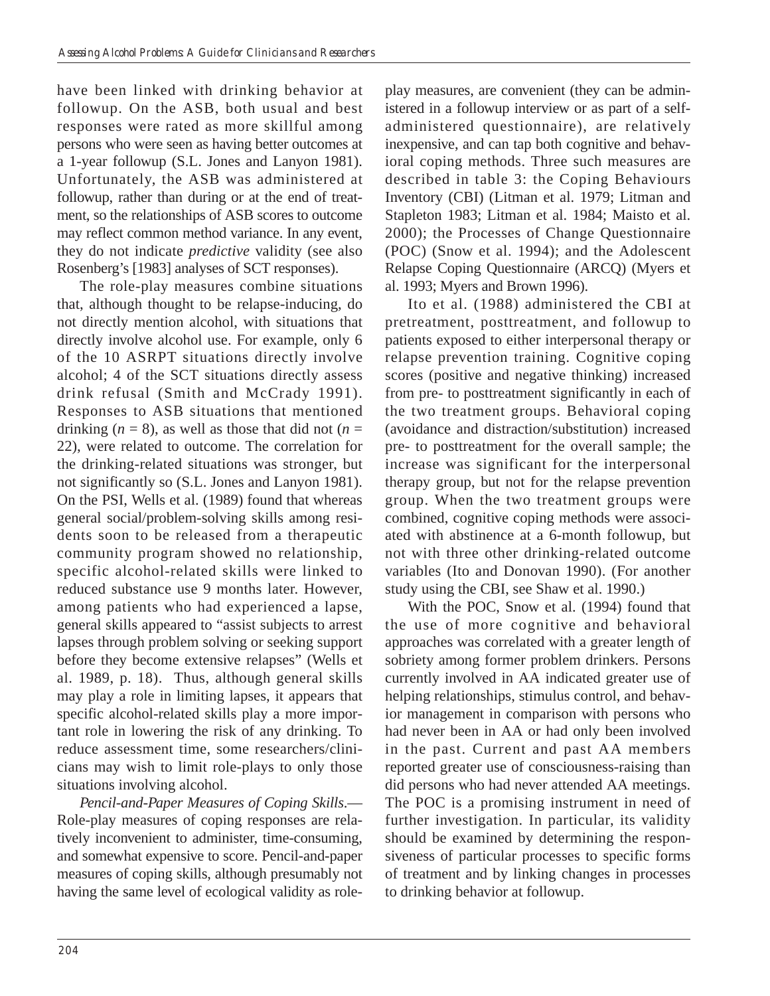have been linked with drinking behavior at followup. On the ASB, both usual and best responses were rated as more skillful among persons who were seen as having better outcomes at a 1-year followup (S.L. Jones and Lanyon 1981). Unfortunately, the ASB was administered at followup, rather than during or at the end of treatment, so the relationships of ASB scores to outcome may reflect common method variance. In any event, they do not indicate *predictive* validity (see also Rosenberg's [1983] analyses of SCT responses).

The role-play measures combine situations that, although thought to be relapse-inducing, do not directly mention alcohol, with situations that directly involve alcohol use. For example, only 6 of the 10 ASRPT situations directly involve alcohol; 4 of the SCT situations directly assess drink refusal (Smith and McCrady 1991). Responses to ASB situations that mentioned drinking  $(n = 8)$ , as well as those that did not  $(n = 1)$ 22), were related to outcome. The correlation for the drinking-related situations was stronger, but not significantly so (S.L. Jones and Lanyon 1981). On the PSI, Wells et al. (1989) found that whereas general social/problem-solving skills among residents soon to be released from a therapeutic community program showed no relationship, specific alcohol-related skills were linked to reduced substance use 9 months later. However, among patients who had experienced a lapse, general skills appeared to "assist subjects to arrest lapses through problem solving or seeking support before they become extensive relapses" (Wells et al. 1989, p. 18). Thus, although general skills may play a role in limiting lapses, it appears that specific alcohol-related skills play a more important role in lowering the risk of any drinking. To reduce assessment time, some researchers/clinicians may wish to limit role-plays to only those situations involving alcohol.

*Pencil-and-Paper Measures of Coping Skills*.— Role-play measures of coping responses are relatively inconvenient to administer, time-consuming, and somewhat expensive to score. Pencil-and-paper measures of coping skills, although presumably not having the same level of ecological validity as roleplay measures, are convenient (they can be administered in a followup interview or as part of a selfadministered questionnaire), are relatively inexpensive, and can tap both cognitive and behavioral coping methods. Three such measures are described in table 3: the Coping Behaviours Inventory (CBI) (Litman et al. 1979; Litman and Stapleton 1983; Litman et al. 1984; Maisto et al. 2000); the Processes of Change Questionnaire (POC) (Snow et al. 1994); and the Adolescent Relapse Coping Questionnaire (ARCQ) (Myers et al. 1993; Myers and Brown 1996).

Ito et al. (1988) administered the CBI at pretreatment, posttreatment, and followup to patients exposed to either interpersonal therapy or relapse prevention training. Cognitive coping scores (positive and negative thinking) increased from pre- to posttreatment significantly in each of the two treatment groups. Behavioral coping (avoidance and distraction/substitution) increased pre- to posttreatment for the overall sample; the increase was significant for the interpersonal therapy group, but not for the relapse prevention group. When the two treatment groups were combined, cognitive coping methods were associated with abstinence at a 6-month followup, but not with three other drinking-related outcome variables (Ito and Donovan 1990). (For another study using the CBI, see Shaw et al. 1990.)

With the POC, Snow et al. (1994) found that the use of more cognitive and behavioral approaches was correlated with a greater length of sobriety among former problem drinkers. Persons currently involved in AA indicated greater use of helping relationships, stimulus control, and behavior management in comparison with persons who had never been in AA or had only been involved in the past. Current and past AA members reported greater use of consciousness-raising than did persons who had never attended AA meetings. The POC is a promising instrument in need of further investigation. In particular, its validity should be examined by determining the responsiveness of particular processes to specific forms of treatment and by linking changes in processes to drinking behavior at followup.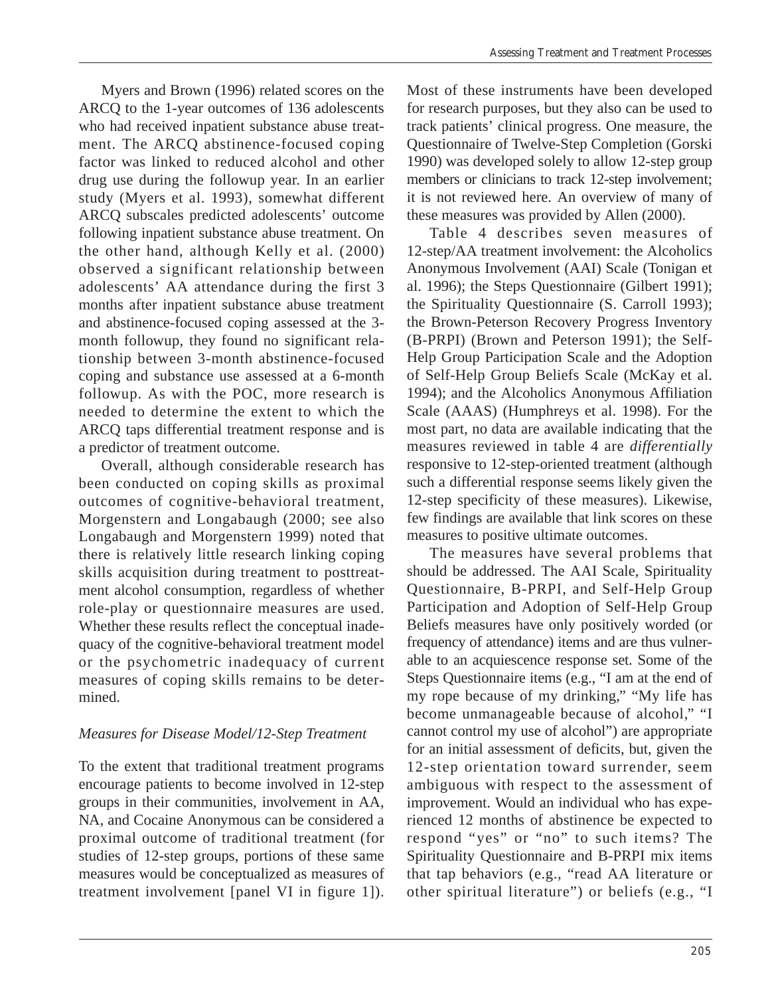Myers and Brown (1996) related scores on the ARCQ to the 1-year outcomes of 136 adolescents who had received inpatient substance abuse treatment. The ARCQ abstinence-focused coping factor was linked to reduced alcohol and other drug use during the followup year. In an earlier study (Myers et al. 1993), somewhat different ARCQ subscales predicted adolescents' outcome following inpatient substance abuse treatment. On the other hand, although Kelly et al. (2000) observed a significant relationship between adolescents' AA attendance during the first 3 months after inpatient substance abuse treatment and abstinence-focused coping assessed at the 3 month followup, they found no significant relationship between 3-month abstinence-focused coping and substance use assessed at a 6-month followup. As with the POC, more research is needed to determine the extent to which the ARCQ taps differential treatment response and is a predictor of treatment outcome.

Overall, although considerable research has been conducted on coping skills as proximal outcomes of cognitive-behavioral treatment, Morgenstern and Longabaugh (2000; see also Longabaugh and Morgenstern 1999) noted that there is relatively little research linking coping skills acquisition during treatment to posttreatment alcohol consumption, regardless of whether role-play or questionnaire measures are used. Whether these results reflect the conceptual inadequacy of the cognitive-behavioral treatment model or the psychometric inadequacy of current measures of coping skills remains to be determined.

### *Measures for Disease Model/12-Step Treatment*

To the extent that traditional treatment programs encourage patients to become involved in 12-step groups in their communities, involvement in AA, NA, and Cocaine Anonymous can be considered a proximal outcome of traditional treatment (for studies of 12-step groups, portions of these same measures would be conceptualized as measures of treatment involvement [panel VI in figure 1]).

Most of these instruments have been developed for research purposes, but they also can be used to track patients' clinical progress. One measure, the Questionnaire of Twelve-Step Completion (Gorski 1990) was developed solely to allow 12-step group members or clinicians to track 12-step involvement; it is not reviewed here. An overview of many of these measures was provided by Allen (2000).

Table 4 describes seven measures of 12-step/AA treatment involvement: the Alcoholics Anonymous Involvement (AAI) Scale (Tonigan et al. 1996); the Steps Questionnaire (Gilbert 1991); the Spirituality Questionnaire (S. Carroll 1993); the Brown-Peterson Recovery Progress Inventory (B-PRPI) (Brown and Peterson 1991); the Self-Help Group Participation Scale and the Adoption of Self-Help Group Beliefs Scale (McKay et al. 1994); and the Alcoholics Anonymous Affiliation Scale (AAAS) (Humphreys et al. 1998). For the most part, no data are available indicating that the measures reviewed in table 4 are *differentially*  responsive to 12-step-oriented treatment (although such a differential response seems likely given the 12-step specificity of these measures). Likewise, few findings are available that link scores on these measures to positive ultimate outcomes.

The measures have several problems that should be addressed. The AAI Scale, Spirituality Questionnaire, B-PRPI, and Self-Help Group Participation and Adoption of Self-Help Group Beliefs measures have only positively worded (or frequency of attendance) items and are thus vulnerable to an acquiescence response set. Some of the Steps Questionnaire items (e.g., "I am at the end of my rope because of my drinking," "My life has become unmanageable because of alcohol," "I cannot control my use of alcohol") are appropriate for an initial assessment of deficits, but, given the 12-step orientation toward surrender, seem ambiguous with respect to the assessment of improvement. Would an individual who has experienced 12 months of abstinence be expected to respond "yes" or "no" to such items? The Spirituality Questionnaire and B-PRPI mix items that tap behaviors (e.g., "read AA literature or other spiritual literature") or beliefs (e.g., "I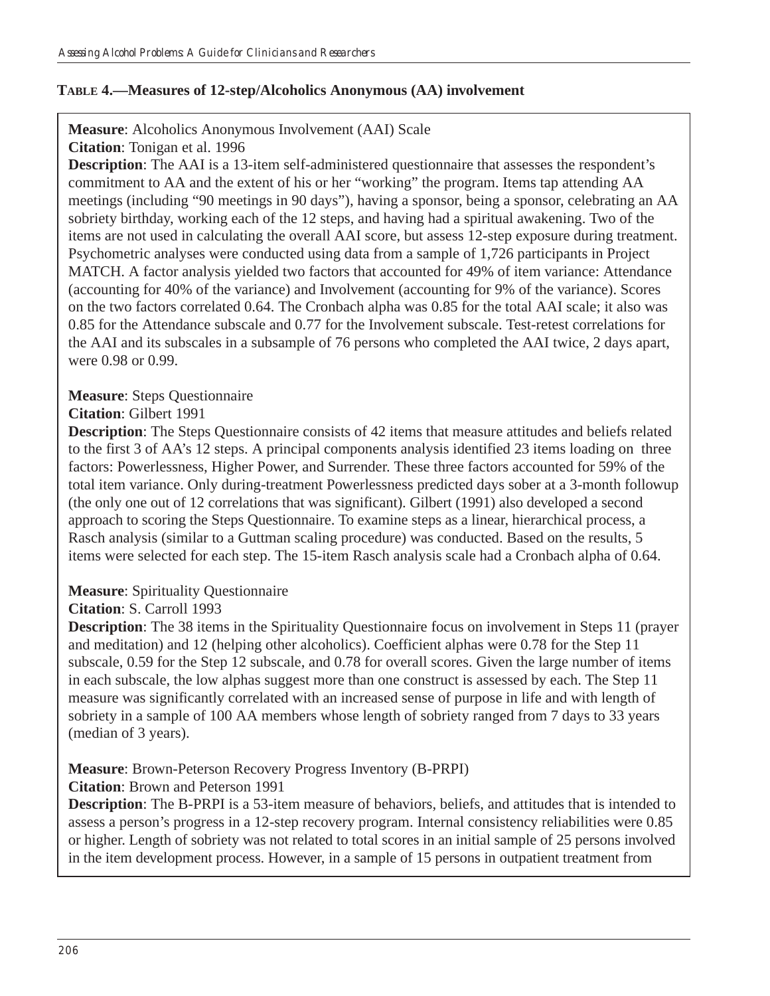### **TABLE 4.—Measures of 12-step/Alcoholics Anonymous (AA) involvement**

#### **Measure**: Alcoholics Anonymous Involvement (AAI) Scale **Citation**: Tonigan et al. 1996

**Description**: The AAI is a 13-item self-administered questionnaire that assesses the respondent's commitment to AA and the extent of his or her "working" the program. Items tap attending AA meetings (including "90 meetings in 90 days"), having a sponsor, being a sponsor, celebrating an AA sobriety birthday, working each of the 12 steps, and having had a spiritual awakening. Two of the items are not used in calculating the overall AAI score, but assess 12-step exposure during treatment. Psychometric analyses were conducted using data from a sample of 1,726 participants in Project MATCH. A factor analysis yielded two factors that accounted for 49% of item variance: Attendance (accounting for 40% of the variance) and Involvement (accounting for 9% of the variance). Scores on the two factors correlated 0.64. The Cronbach alpha was 0.85 for the total AAI scale; it also was 0.85 for the Attendance subscale and 0.77 for the Involvement subscale. Test-retest correlations for the AAI and its subscales in a subsample of 76 persons who completed the AAI twice, 2 days apart, were 0.98 or 0.99.

### **Measure**: Steps Questionnaire

#### **Citation**: Gilbert 1991

**Description**: The Steps Questionnaire consists of 42 items that measure attitudes and beliefs related to the first 3 of AA's 12 steps. A principal components analysis identified 23 items loading on three factors: Powerlessness, Higher Power, and Surrender. These three factors accounted for 59% of the total item variance. Only during-treatment Powerlessness predicted days sober at a 3-month followup (the only one out of 12 correlations that was significant). Gilbert (1991) also developed a second approach to scoring the Steps Questionnaire. To examine steps as a linear, hierarchical process, a Rasch analysis (similar to a Guttman scaling procedure) was conducted. Based on the results, 5 items were selected for each step. The 15-item Rasch analysis scale had a Cronbach alpha of 0.64.

### **Measure**: Spirituality Questionnaire

### **Citation**: S. Carroll 1993

**Description**: The 38 items in the Spirituality Questionnaire focus on involvement in Steps 11 (prayer and meditation) and 12 (helping other alcoholics). Coefficient alphas were 0.78 for the Step 11 subscale, 0.59 for the Step 12 subscale, and 0.78 for overall scores. Given the large number of items in each subscale, the low alphas suggest more than one construct is assessed by each. The Step 11 measure was significantly correlated with an increased sense of purpose in life and with length of sobriety in a sample of 100 AA members whose length of sobriety ranged from 7 days to 33 years (median of 3 years).

### **Measure**: Brown-Peterson Recovery Progress Inventory (B-PRPI)

### **Citation**: Brown and Peterson 1991

**Description**: The B-PRPI is a 53-item measure of behaviors, beliefs, and attitudes that is intended to assess a person's progress in a 12-step recovery program. Internal consistency reliabilities were 0.85 or higher. Length of sobriety was not related to total scores in an initial sample of 25 persons involved in the item development process. However, in a sample of 15 persons in outpatient treatment from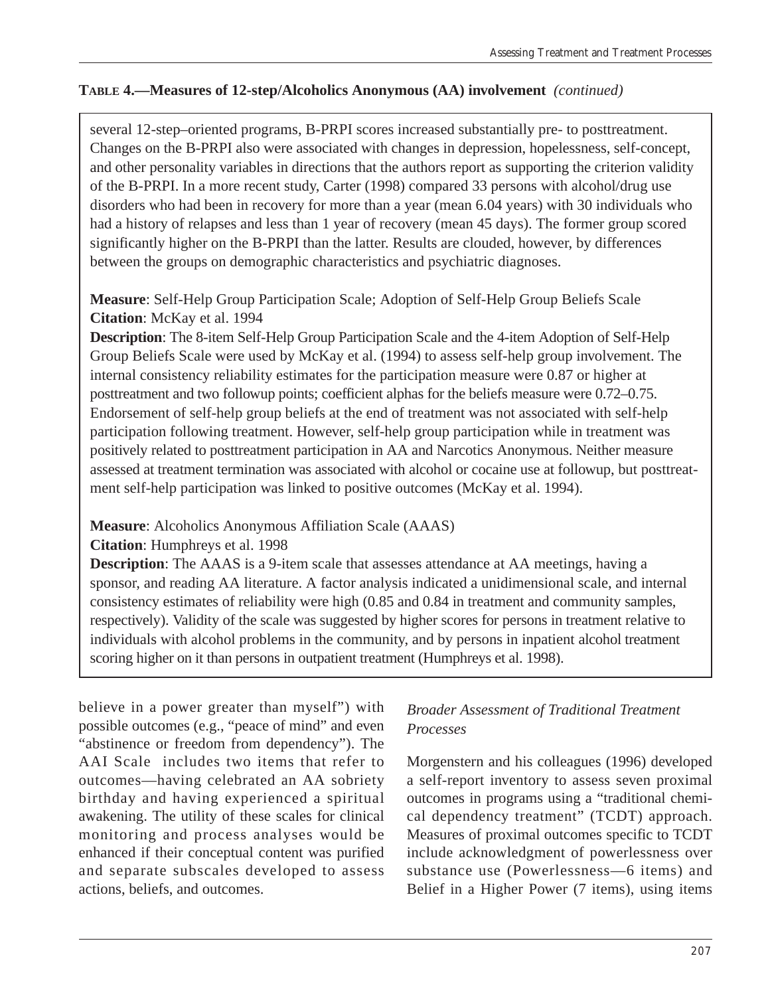### **TABLE 4.—Measures of 12-step/Alcoholics Anonymous (AA) involvement** *(continued)*

several 12-step–oriented programs, B-PRPI scores increased substantially pre- to posttreatment. Changes on the B-PRPI also were associated with changes in depression, hopelessness, self-concept, and other personality variables in directions that the authors report as supporting the criterion validity of the B-PRPI. In a more recent study, Carter (1998) compared 33 persons with alcohol/drug use disorders who had been in recovery for more than a year (mean 6.04 years) with 30 individuals who had a history of relapses and less than 1 year of recovery (mean 45 days). The former group scored significantly higher on the B-PRPI than the latter. Results are clouded, however, by differences between the groups on demographic characteristics and psychiatric diagnoses.

### **Measure**: Self-Help Group Participation Scale; Adoption of Self-Help Group Beliefs Scale **Citation**: McKay et al. 1994

**Description**: The 8-item Self-Help Group Participation Scale and the 4-item Adoption of Self-Help Group Beliefs Scale were used by McKay et al. (1994) to assess self-help group involvement. The internal consistency reliability estimates for the participation measure were 0.87 or higher at posttreatment and two followup points; coefficient alphas for the beliefs measure were 0.72–0.75. Endorsement of self-help group beliefs at the end of treatment was not associated with self-help participation following treatment. However, self-help group participation while in treatment was positively related to posttreatment participation in AA and Narcotics Anonymous. Neither measure assessed at treatment termination was associated with alcohol or cocaine use at followup, but posttreatment self-help participation was linked to positive outcomes (McKay et al. 1994).

### **Measure**: Alcoholics Anonymous Affiliation Scale (AAAS)

**Citation**: Humphreys et al. 1998

**Description**: The AAAS is a 9-item scale that assesses attendance at AA meetings, having a sponsor, and reading AA literature. A factor analysis indicated a unidimensional scale, and internal consistency estimates of reliability were high (0.85 and 0.84 in treatment and community samples, respectively). Validity of the scale was suggested by higher scores for persons in treatment relative to individuals with alcohol problems in the community, and by persons in inpatient alcohol treatment scoring higher on it than persons in outpatient treatment (Humphreys et al. 1998).

believe in a power greater than myself") with possible outcomes (e.g., "peace of mind" and even "abstinence or freedom from dependency"). The AAI Scale includes two items that refer to outcomes—having celebrated an AA sobriety birthday and having experienced a spiritual awakening. The utility of these scales for clinical monitoring and process analyses would be enhanced if their conceptual content was purified and separate subscales developed to assess actions, beliefs, and outcomes.

### *Broader Assessment of Traditional Treatment Processes*

Morgenstern and his colleagues (1996) developed a self-report inventory to assess seven proximal outcomes in programs using a "traditional chemical dependency treatment" (TCDT) approach. Measures of proximal outcomes specific to TCDT include acknowledgment of powerlessness over substance use (Powerlessness—6 items) and Belief in a Higher Power (7 items), using items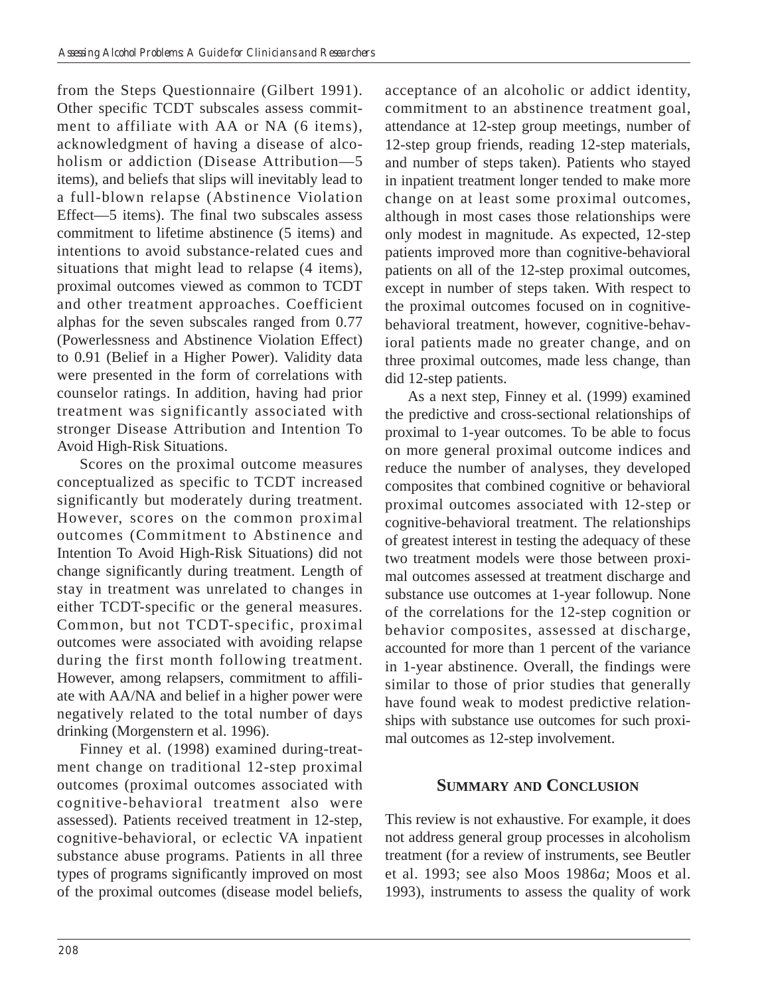from the Steps Questionnaire (Gilbert 1991). Other specific TCDT subscales assess commitment to affiliate with AA or NA (6 items), acknowledgment of having a disease of alcoholism or addiction (Disease Attribution—5 items), and beliefs that slips will inevitably lead to a full-blown relapse (Abstinence Violation Effect—5 items). The final two subscales assess commitment to lifetime abstinence (5 items) and intentions to avoid substance-related cues and situations that might lead to relapse (4 items), proximal outcomes viewed as common to TCDT and other treatment approaches. Coefficient alphas for the seven subscales ranged from 0.77 (Powerlessness and Abstinence Violation Effect) to 0.91 (Belief in a Higher Power). Validity data were presented in the form of correlations with counselor ratings. In addition, having had prior treatment was significantly associated with stronger Disease Attribution and Intention To Avoid High-Risk Situations.

Scores on the proximal outcome measures conceptualized as specific to TCDT increased significantly but moderately during treatment. However, scores on the common proximal outcomes (Commitment to Abstinence and Intention To Avoid High-Risk Situations) did not change significantly during treatment. Length of stay in treatment was unrelated to changes in either TCDT-specific or the general measures. Common, but not TCDT-specific, proximal outcomes were associated with avoiding relapse during the first month following treatment. However, among relapsers, commitment to affiliate with AA/NA and belief in a higher power were negatively related to the total number of days drinking (Morgenstern et al. 1996).

Finney et al. (1998) examined during-treatment change on traditional 12-step proximal outcomes (proximal outcomes associated with cognitive-behavioral treatment also were assessed). Patients received treatment in 12-step, cognitive-behavioral, or eclectic VA inpatient substance abuse programs. Patients in all three types of programs significantly improved on most of the proximal outcomes (disease model beliefs, acceptance of an alcoholic or addict identity, commitment to an abstinence treatment goal, attendance at 12-step group meetings, number of 12-step group friends, reading 12-step materials, and number of steps taken). Patients who stayed in inpatient treatment longer tended to make more change on at least some proximal outcomes, although in most cases those relationships were only modest in magnitude. As expected, 12-step patients improved more than cognitive-behavioral patients on all of the 12-step proximal outcomes, except in number of steps taken. With respect to the proximal outcomes focused on in cognitivebehavioral treatment, however, cognitive-behavioral patients made no greater change, and on three proximal outcomes, made less change, than did 12-step patients.

As a next step, Finney et al. (1999) examined the predictive and cross-sectional relationships of proximal to 1-year outcomes. To be able to focus on more general proximal outcome indices and reduce the number of analyses, they developed composites that combined cognitive or behavioral proximal outcomes associated with 12-step or cognitive-behavioral treatment. The relationships of greatest interest in testing the adequacy of these two treatment models were those between proximal outcomes assessed at treatment discharge and substance use outcomes at 1-year followup. None of the correlations for the 12-step cognition or behavior composites, assessed at discharge, accounted for more than 1 percent of the variance in 1-year abstinence. Overall, the findings were similar to those of prior studies that generally have found weak to modest predictive relationships with substance use outcomes for such proximal outcomes as 12-step involvement.

### **SUMMARY AND CONCLUSION**

This review is not exhaustive. For example, it does not address general group processes in alcoholism treatment (for a review of instruments, see Beutler et al. 1993; see also Moos 1986*a*; Moos et al. 1993), instruments to assess the quality of work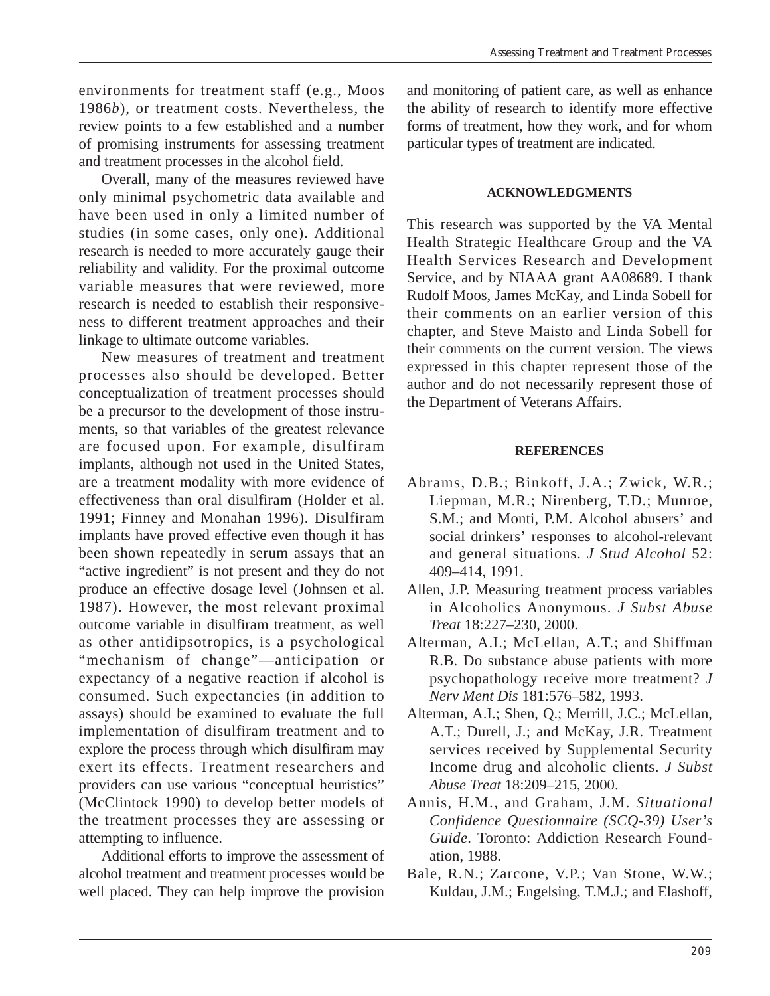environments for treatment staff (e.g., Moos 1986*b*), or treatment costs. Nevertheless, the review points to a few established and a number of promising instruments for assessing treatment and treatment processes in the alcohol field.

Overall, many of the measures reviewed have only minimal psychometric data available and have been used in only a limited number of studies (in some cases, only one). Additional research is needed to more accurately gauge their reliability and validity. For the proximal outcome variable measures that were reviewed, more research is needed to establish their responsiveness to different treatment approaches and their linkage to ultimate outcome variables.

New measures of treatment and treatment processes also should be developed. Better conceptualization of treatment processes should be a precursor to the development of those instruments, so that variables of the greatest relevance are focused upon. For example, disulfiram implants, although not used in the United States, are a treatment modality with more evidence of effectiveness than oral disulfiram (Holder et al. 1991; Finney and Monahan 1996). Disulfiram implants have proved effective even though it has been shown repeatedly in serum assays that an "active ingredient" is not present and they do not produce an effective dosage level (Johnsen et al. 1987). However, the most relevant proximal outcome variable in disulfiram treatment, as well as other antidipsotropics, is a psychological "mechanism of change"—anticipation or expectancy of a negative reaction if alcohol is consumed. Such expectancies (in addition to assays) should be examined to evaluate the full implementation of disulfiram treatment and to explore the process through which disulfiram may exert its effects. Treatment researchers and providers can use various "conceptual heuristics" (McClintock 1990) to develop better models of the treatment processes they are assessing or attempting to influence.

Additional efforts to improve the assessment of alcohol treatment and treatment processes would be well placed. They can help improve the provision

and monitoring of patient care, as well as enhance the ability of research to identify more effective forms of treatment, how they work, and for whom particular types of treatment are indicated.

#### **ACKNOWLEDGMENTS**

This research was supported by the VA Mental Health Strategic Healthcare Group and the VA Health Services Research and Development Service, and by NIAAA grant AA08689. I thank Rudolf Moos, James McKay, and Linda Sobell for their comments on an earlier version of this chapter, and Steve Maisto and Linda Sobell for their comments on the current version. The views expressed in this chapter represent those of the author and do not necessarily represent those of the Department of Veterans Affairs.

#### **REFERENCES**

- Abrams, D.B.; Binkoff, J.A.; Zwick, W.R.; Liepman, M.R.; Nirenberg, T.D.; Munroe, S.M.; and Monti, P.M. Alcohol abusers' and social drinkers' responses to alcohol-relevant and general situations. *J Stud Alcohol* 52: 409–414, 1991.
- Allen, J.P. Measuring treatment process variables in Alcoholics Anonymous. *J Subst Abuse Treat* 18:227–230, 2000.
- Alterman, A.I.; McLellan, A.T.; and Shiffman R.B. Do substance abuse patients with more psychopathology receive more treatment? *J Nerv Ment Dis* 181:576–582, 1993.
- Alterman, A.I.; Shen, Q.; Merrill, J.C.; McLellan, A.T.; Durell, J.; and McKay, J.R. Treatment services received by Supplemental Security Income drug and alcoholic clients. *J Subst Abuse Treat* 18:209–215, 2000.
- Annis, H.M., and Graham, J.M. *Situational Confidence Questionnaire (SCQ-39) User's Guide*. Toronto: Addiction Research Foundation, 1988.
- Bale, R.N.; Zarcone, V.P.; Van Stone, W.W.; Kuldau, J.M.; Engelsing, T.M.J.; and Elashoff,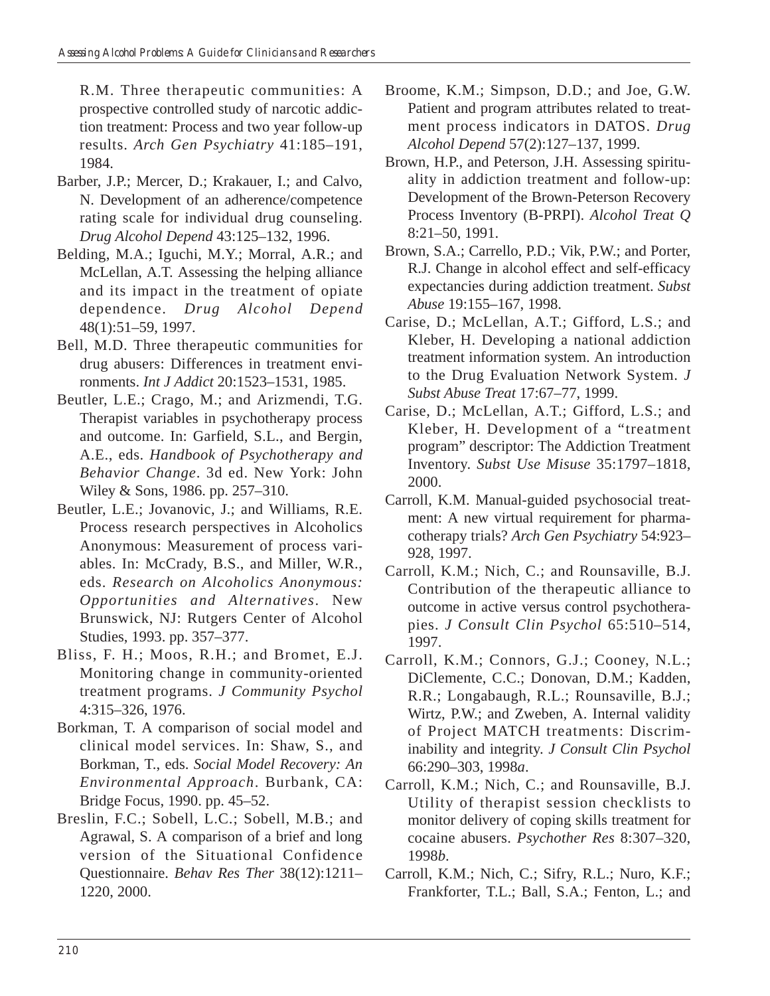R.M. Three therapeutic communities: A prospective controlled study of narcotic addiction treatment: Process and two year follow-up results. *Arch Gen Psychiatry* 41:185–191, 1984.

- Barber, J.P.; Mercer, D.; Krakauer, I.; and Calvo, N. Development of an adherence/competence rating scale for individual drug counseling. *Drug Alcohol Depend* 43:125–132, 1996.
- Belding, M.A.; Iguchi, M.Y.; Morral, A.R.; and McLellan, A.T. Assessing the helping alliance and its impact in the treatment of opiate dependence. *Drug Alcohol Depend*  48(1):51–59, 1997.
- Bell, M.D. Three therapeutic communities for drug abusers: Differences in treatment environments. *Int J Addict* 20:1523–1531, 1985.
- Beutler, L.E.; Crago, M.; and Arizmendi, T.G. Therapist variables in psychotherapy process and outcome. In: Garfield, S.L., and Bergin, A.E., eds. *Handbook of Psychotherapy and Behavior Change*. 3d ed. New York: John Wiley & Sons, 1986. pp. 257–310.
- Beutler, L.E.; Jovanovic, J.; and Williams, R.E. Process research perspectives in Alcoholics Anonymous: Measurement of process variables. In: McCrady, B.S., and Miller, W.R., eds. *Research on Alcoholics Anonymous: Opportunities and Alternatives*. New Brunswick, NJ: Rutgers Center of Alcohol Studies, 1993. pp. 357–377.
- Bliss, F. H.; Moos, R.H.; and Bromet, E.J. Monitoring change in community-oriented treatment programs. *J Community Psychol*  4:315–326, 1976.
- Borkman, T. A comparison of social model and clinical model services. In: Shaw, S., and Borkman, T., eds. *Social Model Recovery: An Environmental Approach*. Burbank, CA: Bridge Focus, 1990. pp. 45–52.
- Breslin, F.C.; Sobell, L.C.; Sobell, M.B.; and Agrawal, S. A comparison of a brief and long version of the Situational Confidence Questionnaire. *Behav Res Ther* 38(12):1211– 1220, 2000.
- Broome, K.M.; Simpson, D.D.; and Joe, G.W. Patient and program attributes related to treatment process indicators in DATOS. *Drug Alcohol Depend* 57(2):127–137, 1999.
- Brown, H.P., and Peterson, J.H. Assessing spirituality in addiction treatment and follow-up: Development of the Brown-Peterson Recovery Process Inventory (B-PRPI). *Alcohol Treat Q*  8:21–50, 1991.
- Brown, S.A.; Carrello, P.D.; Vik, P.W.; and Porter, R.J. Change in alcohol effect and self-efficacy expectancies during addiction treatment. *Subst Abuse* 19:155–167, 1998.
- Carise, D.; McLellan, A.T.; Gifford, L.S.; and Kleber, H. Developing a national addiction treatment information system. An introduction to the Drug Evaluation Network System. *J Subst Abuse Treat* 17:67–77, 1999.
- Carise, D.; McLellan, A.T.; Gifford, L.S.; and Kleber, H. Development of a "treatment program" descriptor: The Addiction Treatment Inventory. *Subst Use Misuse* 35:1797–1818, 2000.
- Carroll, K.M. Manual-guided psychosocial treatment: A new virtual requirement for pharmacotherapy trials? *Arch Gen Psychiatry* 54:923– 928, 1997.
- Carroll, K.M.; Nich, C.; and Rounsaville, B.J. Contribution of the therapeutic alliance to outcome in active versus control psychotherapies. *J Consult Clin Psychol* 65:510–514, 1997.
- Carroll, K.M.; Connors, G.J.; Cooney, N.L.; DiClemente, C.C.; Donovan, D.M.; Kadden, R.R.; Longabaugh, R.L.; Rounsaville, B.J.; Wirtz, P.W.; and Zweben, A. Internal validity of Project MATCH treatments: Discriminability and integrity. *J Consult Clin Psychol*  66:290–303, 1998*a*.
- Carroll, K.M.; Nich, C.; and Rounsaville, B.J. Utility of therapist session checklists to monitor delivery of coping skills treatment for cocaine abusers. *Psychother Res* 8:307–320, 1998*b*.
- Carroll, K.M.; Nich, C.; Sifry, R.L.; Nuro, K.F.; Frankforter, T.L.; Ball, S.A.; Fenton, L.; and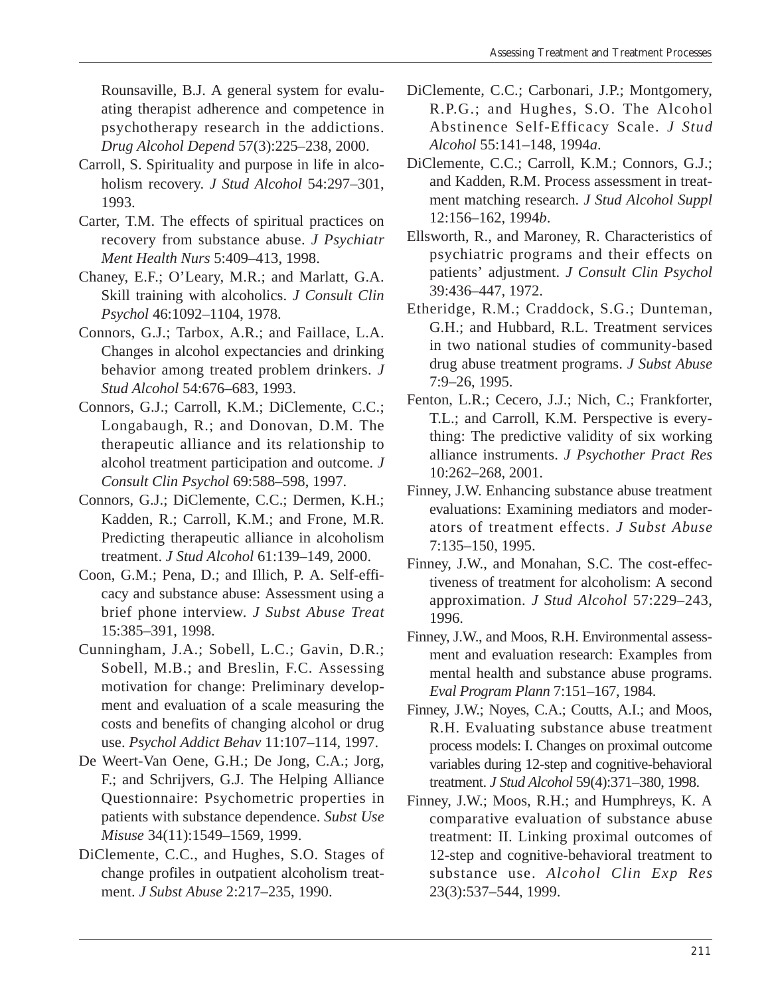Rounsaville, B.J. A general system for evaluating therapist adherence and competence in psychotherapy research in the addictions. *Drug Alcohol Depend* 57(3):225–238, 2000.

- Carroll, S. Spirituality and purpose in life in alcoholism recovery. *J Stud Alcohol* 54:297–301, 1993.
- Carter, T.M. The effects of spiritual practices on recovery from substance abuse. *J Psychiatr Ment Health Nurs* 5:409–413, 1998.
- Chaney, E.F.; O'Leary, M.R.; and Marlatt, G.A. Skill training with alcoholics. *J Consult Clin Psychol* 46:1092–1104, 1978.
- Connors, G.J.; Tarbox, A.R.; and Faillace, L.A. Changes in alcohol expectancies and drinking behavior among treated problem drinkers. *J Stud Alcohol* 54:676–683, 1993.
- Connors, G.J.; Carroll, K.M.; DiClemente, C.C.; Longabaugh, R.; and Donovan, D.M. The therapeutic alliance and its relationship to alcohol treatment participation and outcome. *J Consult Clin Psychol* 69:588–598, 1997.
- Connors, G.J.; DiClemente, C.C.; Dermen, K.H.; Kadden, R.; Carroll, K.M.; and Frone, M.R. Predicting therapeutic alliance in alcoholism treatment. *J Stud Alcohol* 61:139–149, 2000.
- Coon, G.M.; Pena, D.; and Illich, P. A. Self-efficacy and substance abuse: Assessment using a brief phone interview. *J Subst Abuse Treat*  15:385–391, 1998.
- Cunningham, J.A.; Sobell, L.C.; Gavin, D.R.; Sobell, M.B.; and Breslin, F.C. Assessing motivation for change: Preliminary development and evaluation of a scale measuring the costs and benefits of changing alcohol or drug use. *Psychol Addict Behav* 11:107–114, 1997.
- De Weert-Van Oene, G.H.; De Jong, C.A.; Jorg, F.; and Schrijvers, G.J. The Helping Alliance Questionnaire: Psychometric properties in patients with substance dependence. *Subst Use Misuse* 34(11):1549–1569, 1999.
- DiClemente, C.C., and Hughes, S.O. Stages of change profiles in outpatient alcoholism treatment. *J Subst Abuse* 2:217–235, 1990.
- DiClemente, C.C.; Carbonari, J.P.; Montgomery, R.P.G.; and Hughes, S.O. The Alcohol Abstinence Self-Efficacy Scale. *J Stud Alcohol* 55:141–148, 1994*a*.
- DiClemente, C.C.; Carroll, K.M.; Connors, G.J.; and Kadden, R.M. Process assessment in treatment matching research. *J Stud Alcohol Suppl*  12:156–162, 1994*b*.
- Ellsworth, R., and Maroney, R. Characteristics of psychiatric programs and their effects on patients' adjustment. *J Consult Clin Psychol*  39:436–447, 1972.
- Etheridge, R.M.; Craddock, S.G.; Dunteman, G.H.; and Hubbard, R.L. Treatment services in two national studies of community-based drug abuse treatment programs. *J Subst Abuse*  7:9–26, 1995.
- Fenton, L.R.; Cecero, J.J.; Nich, C.; Frankforter, T.L.; and Carroll, K.M. Perspective is everything: The predictive validity of six working alliance instruments. *J Psychother Pract Res*  10:262–268, 2001.
- Finney, J.W. Enhancing substance abuse treatment evaluations: Examining mediators and moderators of treatment effects. *J Subst Abuse*  7:135–150, 1995.
- Finney, J.W., and Monahan, S.C. The cost-effectiveness of treatment for alcoholism: A second approximation. *J Stud Alcohol* 57:229–243, 1996.
- Finney, J.W., and Moos, R.H. Environmental assessment and evaluation research: Examples from mental health and substance abuse programs. *Eval Program Plann* 7:151–167, 1984.
- Finney, J.W.; Noyes, C.A.; Coutts, A.I.; and Moos, R.H. Evaluating substance abuse treatment process models: I. Changes on proximal outcome variables during 12-step and cognitive-behavioral treatment. *J Stud Alcohol* 59(4):371–380, 1998.
- Finney, J.W.; Moos, R.H.; and Humphreys, K. A comparative evaluation of substance abuse treatment: II. Linking proximal outcomes of 12-step and cognitive-behavioral treatment to substance use. *Alcohol Clin Exp Res*  23(3):537–544, 1999.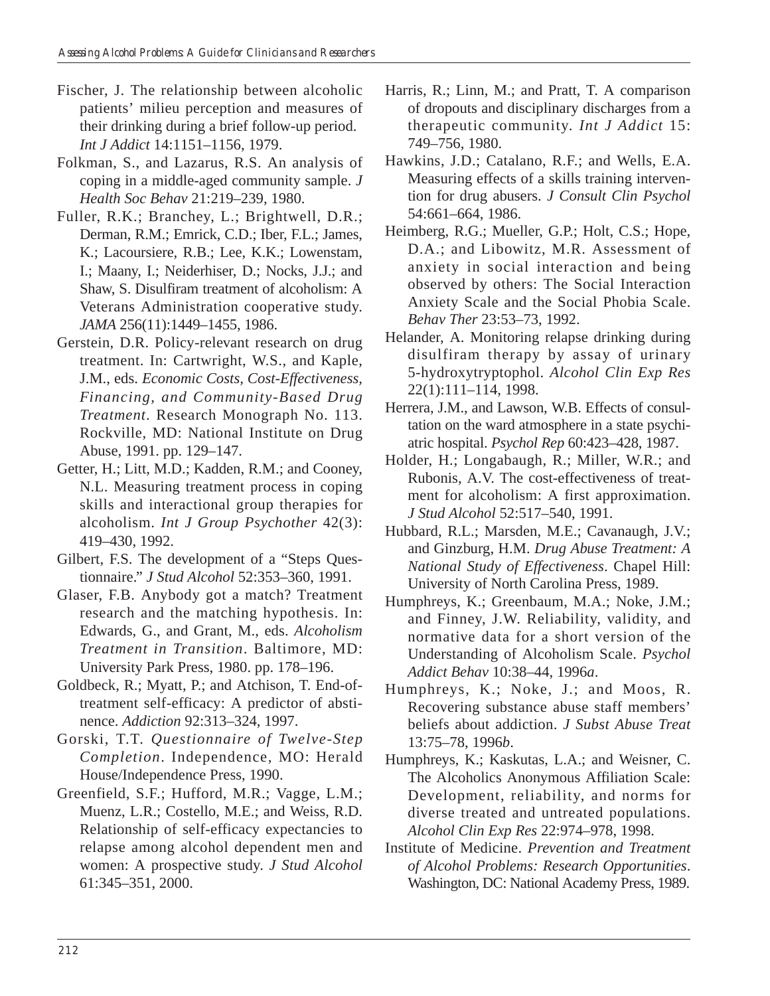- Fischer, J. The relationship between alcoholic patients' milieu perception and measures of their drinking during a brief follow-up period. *Int J Addict* 14:1151–1156, 1979.
- Folkman, S., and Lazarus, R.S. An analysis of coping in a middle-aged community sample. *J Health Soc Behav* 21:219–239, 1980.
- Fuller, R.K.; Branchey, L.; Brightwell, D.R.; Derman, R.M.; Emrick, C.D.; Iber, F.L.; James, K.; Lacoursiere, R.B.; Lee, K.K.; Lowenstam, I.; Maany, I.; Neiderhiser, D.; Nocks, J.J.; and Shaw, S. Disulfiram treatment of alcoholism: A Veterans Administration cooperative study. *JAMA* 256(11):1449–1455, 1986.
- Gerstein, D.R. Policy-relevant research on drug treatment. In: Cartwright, W.S., and Kaple, J.M., eds. *Economic Costs, Cost-Effectiveness, Financing, and Community-Based Drug Treatment*. Research Monograph No. 113. Rockville, MD: National Institute on Drug Abuse, 1991. pp. 129–147.
- Getter, H.; Litt, M.D.; Kadden, R.M.; and Cooney, N.L. Measuring treatment process in coping skills and interactional group therapies for alcoholism. *Int J Group Psychother* 42(3): 419–430, 1992.
- Gilbert, F.S. The development of a "Steps Questionnaire." *J Stud Alcohol* 52:353–360, 1991.
- Glaser, F.B. Anybody got a match? Treatment research and the matching hypothesis. In: Edwards, G., and Grant, M., eds. *Alcoholism Treatment in Transition*. Baltimore, MD: University Park Press, 1980. pp. 178–196.
- Goldbeck, R.; Myatt, P.; and Atchison, T. End-oftreatment self-efficacy: A predictor of abstinence. *Addiction* 92:313–324, 1997.
- Gorski, T.T. *Questionnaire of Twelve-Step Completion*. Independence, MO: Herald House/Independence Press, 1990.
- Greenfield, S.F.; Hufford, M.R.; Vagge, L.M.; Muenz, L.R.; Costello, M.E.; and Weiss, R.D. Relationship of self-efficacy expectancies to relapse among alcohol dependent men and women: A prospective study. *J Stud Alcohol*  61:345–351, 2000.
- Harris, R.; Linn, M.; and Pratt, T. A comparison of dropouts and disciplinary discharges from a therapeutic community. *Int J Addict* 15: 749–756, 1980.
- Hawkins, J.D.; Catalano, R.F.; and Wells, E.A. Measuring effects of a skills training intervention for drug abusers. *J Consult Clin Psychol*  54:661–664, 1986.
- Heimberg, R.G.; Mueller, G.P.; Holt, C.S.; Hope, D.A.; and Libowitz, M.R. Assessment of anxiety in social interaction and being observed by others: The Social Interaction Anxiety Scale and the Social Phobia Scale. *Behav Ther* 23:53–73, 1992.
- Helander, A. Monitoring relapse drinking during disulfiram therapy by assay of urinary 5-hydroxytryptophol. *Alcohol Clin Exp Res*  22(1):111–114, 1998.
- Herrera, J.M., and Lawson, W.B. Effects of consultation on the ward atmosphere in a state psychiatric hospital. *Psychol Rep* 60:423–428, 1987.
- Holder, H.; Longabaugh, R.; Miller, W.R.; and Rubonis, A.V. The cost-effectiveness of treatment for alcoholism: A first approximation. *J Stud Alcohol* 52:517–540, 1991.
- Hubbard, R.L.; Marsden, M.E.; Cavanaugh, J.V.; and Ginzburg, H.M. *Drug Abuse Treatment: A National Study of Effectiveness*. Chapel Hill: University of North Carolina Press, 1989.
- Humphreys, K.; Greenbaum, M.A.; Noke, J.M.; and Finney, J.W. Reliability, validity, and normative data for a short version of the Understanding of Alcoholism Scale. *Psychol Addict Behav* 10:38–44, 1996*a*.
- Humphreys, K.; Noke, J.; and Moos, R. Recovering substance abuse staff members' beliefs about addiction. *J Subst Abuse Treat*  13:75–78, 1996*b*.
- Humphreys, K.; Kaskutas, L.A.; and Weisner, C. The Alcoholics Anonymous Affiliation Scale: Development, reliability, and norms for diverse treated and untreated populations. *Alcohol Clin Exp Res* 22:974–978, 1998.
- Institute of Medicine. *Prevention and Treatment of Alcohol Problems: Research Opportunities*. Washington, DC: National Academy Press, 1989.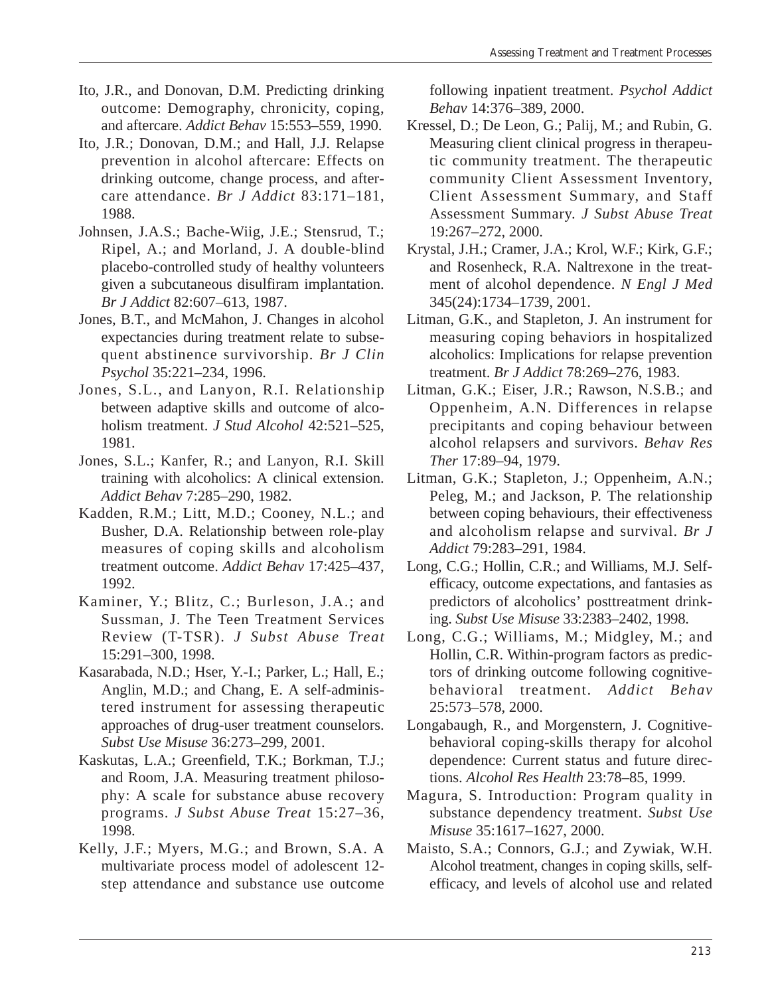- Ito, J.R., and Donovan, D.M. Predicting drinking outcome: Demography, chronicity, coping, and aftercare. *Addict Behav* 15:553–559, 1990.
- Ito, J.R.; Donovan, D.M.; and Hall, J.J. Relapse prevention in alcohol aftercare: Effects on drinking outcome, change process, and aftercare attendance. *Br J Addict* 83:171–181, 1988.
- Johnsen, J.A.S.; Bache-Wiig, J.E.; Stensrud, T.; Ripel, A.; and Morland, J. A double-blind placebo-controlled study of healthy volunteers given a subcutaneous disulfiram implantation. *Br J Addict* 82:607–613, 1987.
- Jones, B.T., and McMahon, J. Changes in alcohol expectancies during treatment relate to subsequent abstinence survivorship. *Br J Clin Psychol* 35:221–234, 1996.
- Jones, S.L., and Lanyon, R.I. Relationship between adaptive skills and outcome of alcoholism treatment. *J Stud Alcohol* 42:521–525, 1981.
- Jones, S.L.; Kanfer, R.; and Lanyon, R.I. Skill training with alcoholics: A clinical extension. *Addict Behav* 7:285–290, 1982.
- Kadden, R.M.; Litt, M.D.; Cooney, N.L.; and Busher, D.A. Relationship between role-play measures of coping skills and alcoholism treatment outcome. *Addict Behav* 17:425–437, 1992.
- Kaminer, Y.; Blitz, C.; Burleson, J.A.; and Sussman, J. The Teen Treatment Services Review (T-TSR). *J Subst Abuse Treat*  15:291–300, 1998.
- Kasarabada, N.D.; Hser, Y.-I.; Parker, L.; Hall, E.; Anglin, M.D.; and Chang, E. A self-administered instrument for assessing therapeutic approaches of drug-user treatment counselors. *Subst Use Misuse* 36:273–299, 2001.
- Kaskutas, L.A.; Greenfield, T.K.; Borkman, T.J.; and Room, J.A. Measuring treatment philosophy: A scale for substance abuse recovery programs. *J Subst Abuse Treat* 15:27–36, 1998.
- Kelly, J.F.; Myers, M.G.; and Brown, S.A. A multivariate process model of adolescent 12 step attendance and substance use outcome

following inpatient treatment. *Psychol Addict Behav* 14:376–389, 2000.

- Kressel, D.; De Leon, G.; Palij, M.; and Rubin, G. Measuring client clinical progress in therapeutic community treatment. The therapeutic community Client Assessment Inventory, Client Assessment Summary, and Staff Assessment Summary. *J Subst Abuse Treat*  19:267–272, 2000.
- Krystal, J.H.; Cramer, J.A.; Krol, W.F.; Kirk, G.F.; and Rosenheck, R.A. Naltrexone in the treatment of alcohol dependence. *N Engl J Med*  345(24):1734–1739, 2001.
- Litman, G.K., and Stapleton, J. An instrument for measuring coping behaviors in hospitalized alcoholics: Implications for relapse prevention treatment. *Br J Addict* 78:269–276, 1983.
- Litman, G.K.; Eiser, J.R.; Rawson, N.S.B.; and Oppenheim, A.N. Differences in relapse precipitants and coping behaviour between alcohol relapsers and survivors. *Behav Res Ther* 17:89–94, 1979.
- Litman, G.K.; Stapleton, J.; Oppenheim, A.N.; Peleg, M.; and Jackson, P. The relationship between coping behaviours, their effectiveness and alcoholism relapse and survival. *Br J Addict* 79:283–291, 1984.
- Long, C.G.; Hollin, C.R.; and Williams, M.J. Selfefficacy, outcome expectations, and fantasies as predictors of alcoholics' posttreatment drinking. *Subst Use Misuse* 33:2383–2402, 1998.
- Long, C.G.; Williams, M.; Midgley, M.; and Hollin, C.R. Within-program factors as predictors of drinking outcome following cognitivebehavioral treatment. *Addict Behav*  25:573–578, 2000.
- Longabaugh, R., and Morgenstern, J. Cognitivebehavioral coping-skills therapy for alcohol dependence: Current status and future directions. *Alcohol Res Health* 23:78–85, 1999.
- Magura, S. Introduction: Program quality in substance dependency treatment. *Subst Use Misuse* 35:1617–1627, 2000.
- Maisto, S.A.; Connors, G.J.; and Zywiak, W.H. Alcohol treatment, changes in coping skills, selfefficacy, and levels of alcohol use and related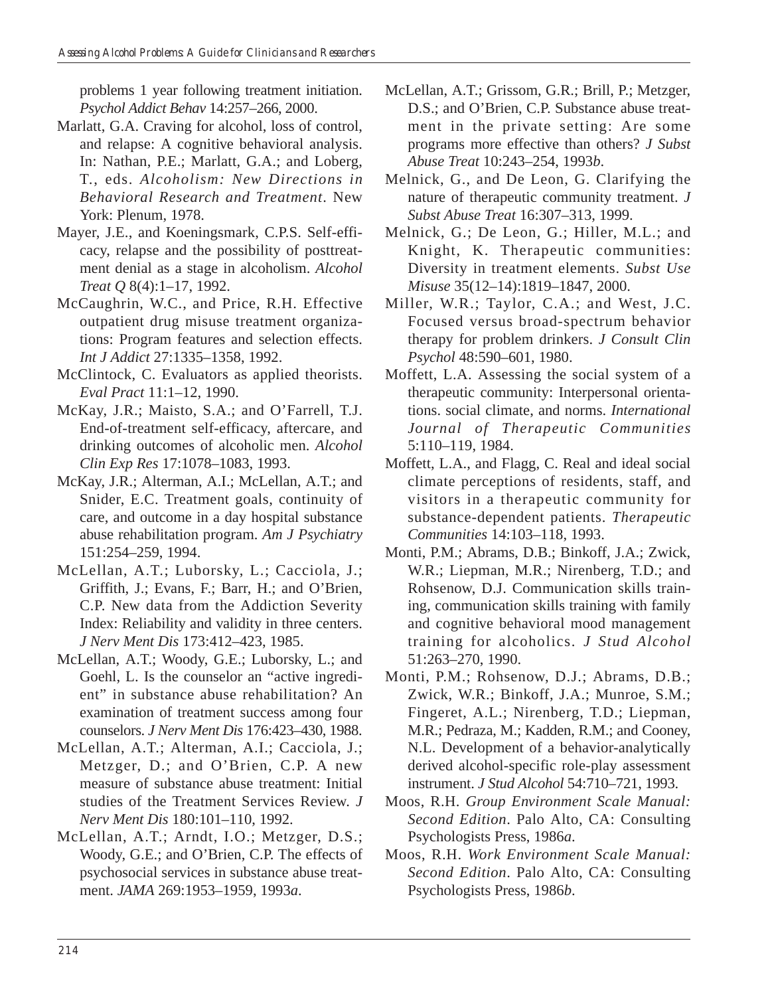problems 1 year following treatment initiation. *Psychol Addict Behav* 14:257–266, 2000.

- Marlatt, G.A. Craving for alcohol, loss of control, and relapse: A cognitive behavioral analysis. In: Nathan, P.E.; Marlatt, G.A.; and Loberg, T., eds. *Alcoholism: New Directions in Behavioral Research and Treatment*. New York: Plenum, 1978.
- Mayer, J.E., and Koeningsmark, C.P.S. Self-efficacy, relapse and the possibility of posttreatment denial as a stage in alcoholism. *Alcohol Treat Q* 8(4):1–17, 1992.
- McCaughrin, W.C., and Price, R.H. Effective outpatient drug misuse treatment organizations: Program features and selection effects. *Int J Addict* 27:1335–1358, 1992.
- McClintock, C. Evaluators as applied theorists. *Eval Pract* 11:1–12, 1990.
- McKay, J.R.; Maisto, S.A.; and O'Farrell, T.J. End-of-treatment self-efficacy, aftercare, and drinking outcomes of alcoholic men. *Alcohol Clin Exp Res* 17:1078–1083, 1993.
- McKay, J.R.; Alterman, A.I.; McLellan, A.T.; and Snider, E.C. Treatment goals, continuity of care, and outcome in a day hospital substance abuse rehabilitation program. *Am J Psychiatry*  151:254–259, 1994.
- McLellan, A.T.; Luborsky, L.; Cacciola, J.; Griffith, J.; Evans, F.; Barr, H.; and O'Brien, C.P. New data from the Addiction Severity Index: Reliability and validity in three centers. *J Nerv Ment Dis* 173:412–423, 1985.
- McLellan, A.T.; Woody, G.E.; Luborsky, L.; and Goehl, L. Is the counselor an "active ingredient" in substance abuse rehabilitation? An examination of treatment success among four counselors. *J Nerv Ment Dis* 176:423–430, 1988.
- McLellan, A.T.; Alterman, A.I.; Cacciola, J.; Metzger, D.; and O'Brien, C.P. A new measure of substance abuse treatment: Initial studies of the Treatment Services Review. *J Nerv Ment Dis* 180:101–110, 1992.
- McLellan, A.T.; Arndt, I.O.; Metzger, D.S.; Woody, G.E.; and O'Brien, C.P. The effects of psychosocial services in substance abuse treatment. *JAMA* 269:1953–1959, 1993*a*.
- McLellan, A.T.; Grissom, G.R.; Brill, P.; Metzger, D.S.; and O'Brien, C.P. Substance abuse treatment in the private setting: Are some programs more effective than others? *J Subst Abuse Treat* 10:243–254, 1993*b*.
- Melnick, G., and De Leon, G. Clarifying the nature of therapeutic community treatment. *J Subst Abuse Treat* 16:307–313, 1999.
- Melnick, G.; De Leon, G.; Hiller, M.L.; and Knight, K. Therapeutic communities: Diversity in treatment elements. *Subst Use Misuse* 35(12–14):1819–1847, 2000.
- Miller, W.R.; Taylor, C.A.; and West, J.C. Focused versus broad-spectrum behavior therapy for problem drinkers. *J Consult Clin Psychol* 48:590–601, 1980.
- Moffett, L.A. Assessing the social system of a therapeutic community: Interpersonal orientations. social climate, and norms. *International Journal of Therapeutic Communities*  5:110–119, 1984.
- Moffett, L.A., and Flagg, C. Real and ideal social climate perceptions of residents, staff, and visitors in a therapeutic community for substance-dependent patients. *Therapeutic Communities* 14:103–118, 1993.
- Monti, P.M.; Abrams, D.B.; Binkoff, J.A.; Zwick, W.R.; Liepman, M.R.; Nirenberg, T.D.; and Rohsenow, D.J. Communication skills training, communication skills training with family and cognitive behavioral mood management training for alcoholics. *J Stud Alcohol*  51:263–270, 1990.
- Monti, P.M.; Rohsenow, D.J.; Abrams, D.B.; Zwick, W.R.; Binkoff, J.A.; Munroe, S.M.; Fingeret, A.L.; Nirenberg, T.D.; Liepman, M.R.; Pedraza, M.; Kadden, R.M.; and Cooney, N.L. Development of a behavior-analytically derived alcohol-specific role-play assessment instrument. *J Stud Alcohol* 54:710–721, 1993.
- Moos, R.H. *Group Environment Scale Manual: Second Edition*. Palo Alto, CA: Consulting Psychologists Press, 1986*a*.
- Moos, R.H. *Work Environment Scale Manual: Second Edition*. Palo Alto, CA: Consulting Psychologists Press, 1986*b*.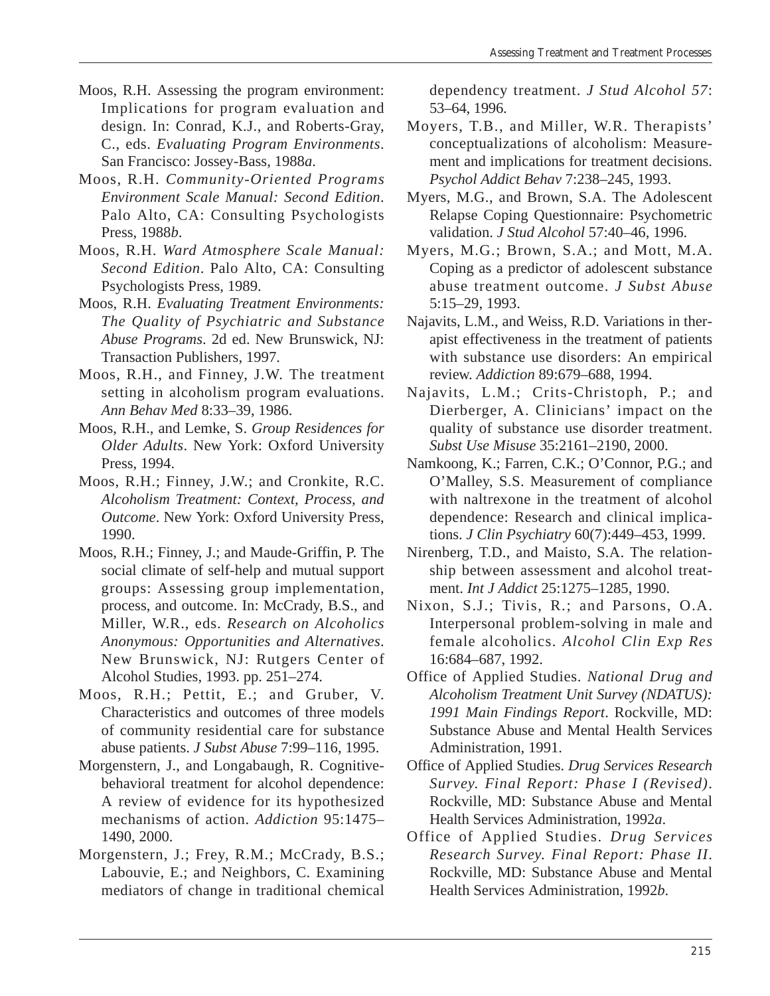- Moos, R.H. Assessing the program environment: Implications for program evaluation and design. In: Conrad, K.J., and Roberts-Gray, C., eds. *Evaluating Program Environments*. San Francisco: Jossey-Bass, 1988*a*.
- Moos, R.H. *Community-Oriented Programs Environment Scale Manual: Second Edition*. Palo Alto, CA: Consulting Psychologists Press, 1988*b*.
- Moos, R.H. *Ward Atmosphere Scale Manual: Second Edition*. Palo Alto, CA: Consulting Psychologists Press, 1989.
- Moos, R.H. *Evaluating Treatment Environments: The Quality of Psychiatric and Substance Abuse Programs*. 2d ed. New Brunswick, NJ: Transaction Publishers, 1997.
- Moos, R.H., and Finney, J.W. The treatment setting in alcoholism program evaluations. *Ann Behav Med* 8:33–39, 1986.
- Moos, R.H., and Lemke, S. *Group Residences for Older Adults*. New York: Oxford University Press, 1994.
- Moos, R.H.; Finney, J.W.; and Cronkite, R.C. *Alcoholism Treatment: Context, Process, and Outcome*. New York: Oxford University Press, 1990.
- Moos, R.H.; Finney, J.; and Maude-Griffin, P. The social climate of self-help and mutual support groups: Assessing group implementation, process, and outcome. In: McCrady, B.S., and Miller, W.R., eds. *Research on Alcoholics Anonymous: Opportunities and Alternatives*. New Brunswick, NJ: Rutgers Center of Alcohol Studies, 1993. pp. 251–274.
- Moos, R.H.; Pettit, E.; and Gruber, V. Characteristics and outcomes of three models of community residential care for substance abuse patients. *J Subst Abuse* 7:99–116, 1995.
- Morgenstern, J., and Longabaugh, R. Cognitivebehavioral treatment for alcohol dependence: A review of evidence for its hypothesized mechanisms of action. *Addiction* 95:1475– 1490, 2000.
- Morgenstern, J.; Frey, R.M.; McCrady, B.S.; Labouvie, E.; and Neighbors, C. Examining mediators of change in traditional chemical

dependency treatment. *J Stud Alcohol 57*: 53–64, 1996.

- Moyers, T.B., and Miller, W.R. Therapists' conceptualizations of alcoholism: Measurement and implications for treatment decisions. *Psychol Addict Behav* 7:238–245, 1993.
- Myers, M.G., and Brown, S.A. The Adolescent Relapse Coping Questionnaire: Psychometric validation. *J Stud Alcohol* 57:40–46, 1996.
- Myers, M.G.; Brown, S.A.; and Mott, M.A. Coping as a predictor of adolescent substance abuse treatment outcome. *J Subst Abuse*  5:15–29, 1993.
- Najavits, L.M., and Weiss, R.D. Variations in therapist effectiveness in the treatment of patients with substance use disorders: An empirical review. *Addiction* 89:679–688, 1994.
- Najavits, L.M.; Crits-Christoph, P.; and Dierberger, A. Clinicians' impact on the quality of substance use disorder treatment. *Subst Use Misuse* 35:2161–2190, 2000.
- Namkoong, K.; Farren, C.K.; O'Connor, P.G.; and O'Malley, S.S. Measurement of compliance with naltrexone in the treatment of alcohol dependence: Research and clinical implications. *J Clin Psychiatry* 60(7):449–453, 1999.
- Nirenberg, T.D., and Maisto, S.A. The relationship between assessment and alcohol treatment. *Int J Addict* 25:1275–1285, 1990.
- Nixon, S.J.; Tivis, R.; and Parsons, O.A. Interpersonal problem-solving in male and female alcoholics. *Alcohol Clin Exp Res*  16:684–687, 1992.
- Office of Applied Studies. *National Drug and Alcoholism Treatment Unit Survey (NDATUS): 1991 Main Findings Report*. Rockville, MD: Substance Abuse and Mental Health Services Administration, 1991.
- Office of Applied Studies. *Drug Services Research Survey. Final Report: Phase I (Revised)*. Rockville, MD: Substance Abuse and Mental Health Services Administration, 1992*a*.
- Office of Applied Studies. *Drug Services Research Survey. Final Report: Phase II*. Rockville, MD: Substance Abuse and Mental Health Services Administration, 1992*b*.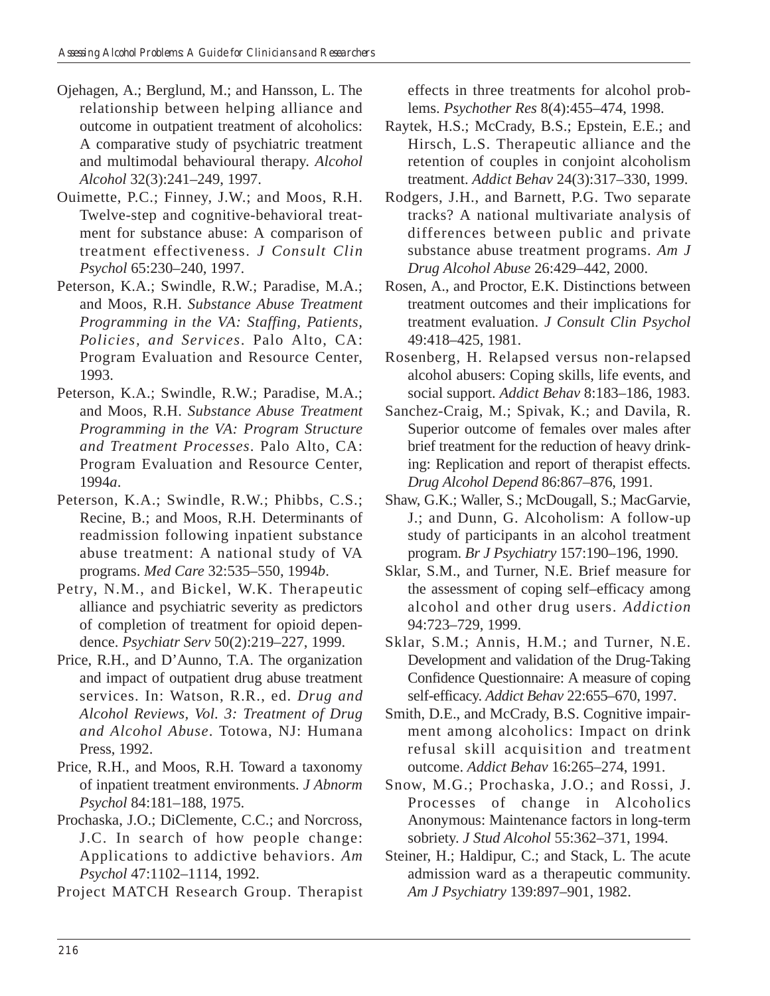- Ojehagen, A.; Berglund, M.; and Hansson, L. The relationship between helping alliance and outcome in outpatient treatment of alcoholics: A comparative study of psychiatric treatment and multimodal behavioural therapy. *Alcohol Alcohol* 32(3):241–249, 1997.
- Ouimette, P.C.; Finney, J.W.; and Moos, R.H. Twelve-step and cognitive-behavioral treatment for substance abuse: A comparison of treatment effectiveness. *J Consult Clin Psychol* 65:230–240, 1997.
- Peterson, K.A.; Swindle, R.W.; Paradise, M.A.; and Moos, R.H. *Substance Abuse Treatment Programming in the VA: Staffing, Patients, Policies, and Services*. Palo Alto, CA: Program Evaluation and Resource Center, 1993.
- Peterson, K.A.; Swindle, R.W.; Paradise, M.A.; and Moos, R.H. *Substance Abuse Treatment Programming in the VA: Program Structure and Treatment Processes*. Palo Alto, CA: Program Evaluation and Resource Center, 1994*a*.
- Peterson, K.A.; Swindle, R.W.; Phibbs, C.S.; Recine, B.; and Moos, R.H. Determinants of readmission following inpatient substance abuse treatment: A national study of VA programs. *Med Care* 32:535–550, 1994*b*.
- Petry, N.M., and Bickel, W.K. Therapeutic alliance and psychiatric severity as predictors of completion of treatment for opioid dependence. *Psychiatr Serv* 50(2):219–227, 1999.
- Price, R.H., and D'Aunno, T.A. The organization and impact of outpatient drug abuse treatment services. In: Watson, R.R., ed. *Drug and Alcohol Reviews, Vol. 3: Treatment of Drug and Alcohol Abuse*. Totowa, NJ: Humana Press, 1992.
- Price, R.H., and Moos, R.H. Toward a taxonomy of inpatient treatment environments. *J Abnorm Psychol* 84:181–188, 1975.
- Prochaska, J.O.; DiClemente, C.C.; and Norcross, J.C. In search of how people change: Applications to addictive behaviors. *Am Psychol* 47:1102–1114, 1992.

Project MATCH Research Group. Therapist

effects in three treatments for alcohol problems. *Psychother Res* 8(4):455–474, 1998.

- Raytek, H.S.; McCrady, B.S.; Epstein, E.E.; and Hirsch, L.S. Therapeutic alliance and the retention of couples in conjoint alcoholism treatment. *Addict Behav* 24(3):317–330, 1999.
- Rodgers, J.H., and Barnett, P.G. Two separate tracks? A national multivariate analysis of differences between public and private substance abuse treatment programs. *Am J Drug Alcohol Abuse* 26:429–442, 2000.
- Rosen, A., and Proctor, E.K. Distinctions between treatment outcomes and their implications for treatment evaluation. *J Consult Clin Psychol*  49:418–425, 1981.
- Rosenberg, H. Relapsed versus non-relapsed alcohol abusers: Coping skills, life events, and social support. *Addict Behav* 8:183–186, 1983.
- Sanchez-Craig, M.; Spivak, K.; and Davila, R. Superior outcome of females over males after brief treatment for the reduction of heavy drinking: Replication and report of therapist effects. *Drug Alcohol Depend* 86:867–876, 1991.
- Shaw, G.K.; Waller, S.; McDougall, S.; MacGarvie, J.; and Dunn, G. Alcoholism: A follow-up study of participants in an alcohol treatment program. *Br J Psychiatry* 157:190–196, 1990.
- Sklar, S.M., and Turner, N.E. Brief measure for the assessment of coping self–efficacy among alcohol and other drug users. *Addiction*  94:723–729, 1999.
- Sklar, S.M.; Annis, H.M.; and Turner, N.E. Development and validation of the Drug-Taking Confidence Questionnaire: A measure of coping self-efficacy. *Addict Behav* 22:655–670, 1997.
- Smith, D.E., and McCrady, B.S. Cognitive impairment among alcoholics: Impact on drink refusal skill acquisition and treatment outcome. *Addict Behav* 16:265–274, 1991.
- Snow, M.G.; Prochaska, J.O.; and Rossi, J. Processes of change in Alcoholics Anonymous: Maintenance factors in long-term sobriety. *J Stud Alcohol* 55:362–371, 1994.
- Steiner, H.; Haldipur, C.; and Stack, L. The acute admission ward as a therapeutic community. *Am J Psychiatry* 139:897–901, 1982.